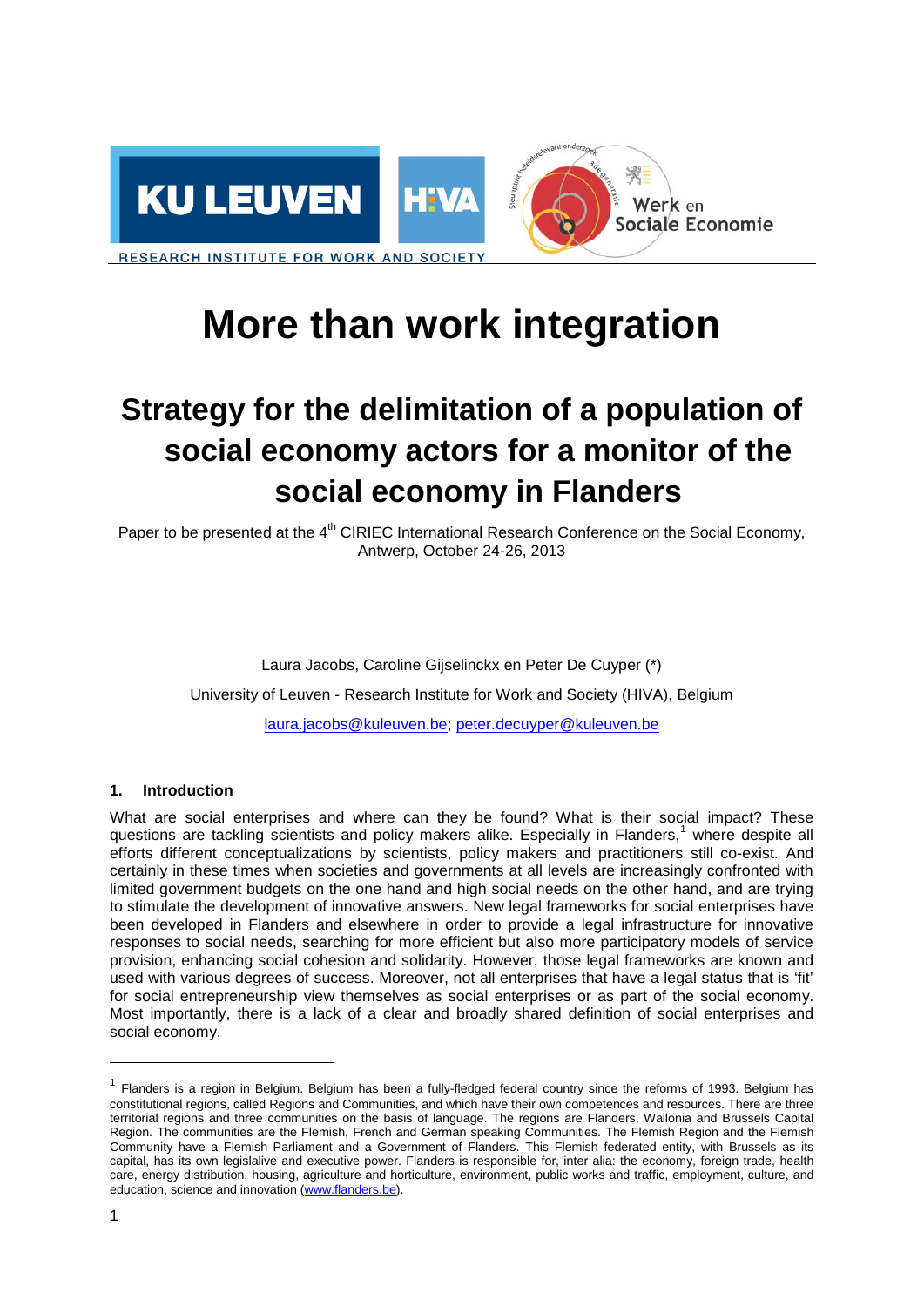

# **More than work integration**

# **Strategy for the delimitation of a population of social economy actors for a monitor of the social economy in Flanders**

Paper to be presented at the 4<sup>th</sup> CIRIEC International Research Conference on the Social Economy, Antwerp, October 24-26, 2013

> Laura Jacobs, Caroline Gijselinckx en Peter De Cuyper (\*) University of Leuven - Research Institute for Work and Society (HIVA), Belgium [laura.jacobs@kuleuven.be;](mailto:laura.jacobs@kuleuven.be) [peter.decuyper@kuleuven.be](mailto:peter.decuyper@kuleuven.be)

# **1. Introduction**

What are social enterprises and where can they be found? What is their social impact? These questions are tackling scientists and policy makers alike. Especially in Flanders, $1$  where despite all efforts different conceptualizations by scientists, policy makers and practitioners still co-exist. And certainly in these times when societies and governments at all levels are increasingly confronted with limited government budgets on the one hand and high social needs on the other hand, and are trying to stimulate the development of innovative answers. New legal frameworks for social enterprises have been developed in Flanders and elsewhere in order to provide a legal infrastructure for innovative responses to social needs, searching for more efficient but also more participatory models of service provision, enhancing social cohesion and solidarity. However, those legal frameworks are known and used with various degrees of success. Moreover, not all enterprises that have a legal status that is 'fit' for social entrepreneurship view themselves as social enterprises or as part of the social economy. Most importantly, there is a lack of a clear and broadly shared definition of social enterprises and social economy.

<span id="page-0-0"></span><sup>1</sup> Flanders is a region in Belgium. Belgium has been a fully-fledged federal country since the reforms of 1993. Belgium has constitutional regions, called Regions and Communities, and which have their own competences and resources. There are three territorial regions and three communities on the basis of language. The regions are Flanders, Wallonia and Brussels Capital Region. The communities are the Flemish, French and German speaking Communities. The Flemish Region and the Flemish Community have a Flemish Parliament and a Government of Flanders. This Flemish federated entity, with Brussels as its capital, has its own legislalive and executive power. Flanders is responsible for, inter alia: the economy, foreign trade, health care, energy distribution, housing, agriculture and horticulture, environment, public works and traffic, employment, culture, and education, science and innovation [\(www.flanders.be\).](http://www.flanders.be/)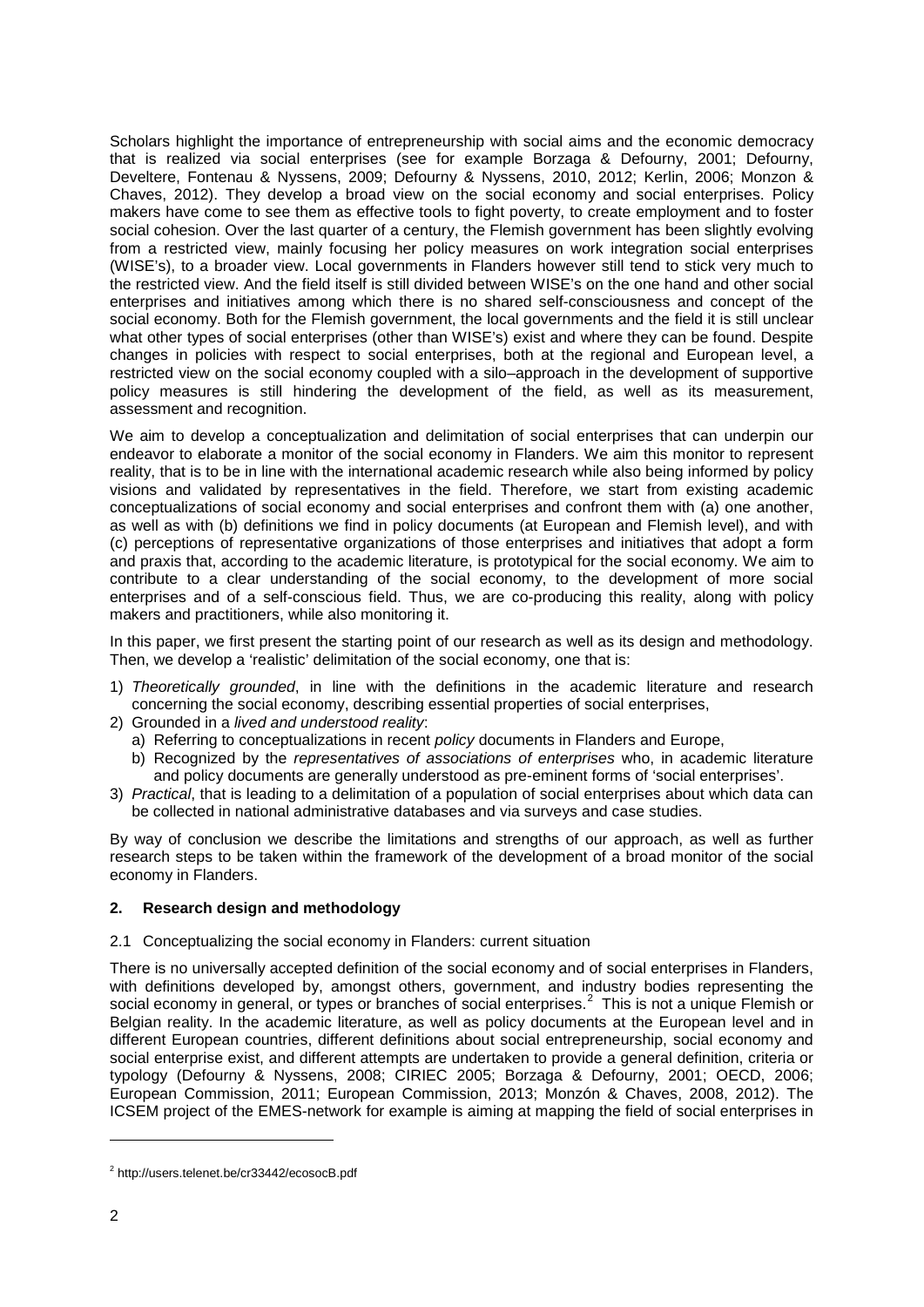Scholars highlight the importance of entrepreneurship with social aims and the economic democracy that is realized via social enterprises (see for example Borzaga & Defourny, 2001; Defourny, Develtere, Fontenau & Nyssens, 2009; Defourny & Nyssens, 2010, 2012; Kerlin, 2006; Monzon & Chaves, 2012). They develop a broad view on the social economy and social enterprises. Policy makers have come to see them as effective tools to fight poverty, to create employment and to foster social cohesion. Over the last quarter of a century, the Flemish government has been slightly evolving from a restricted view, mainly focusing her policy measures on work integration social enterprises (WISE's), to a broader view. Local governments in Flanders however still tend to stick very much to the restricted view. And the field itself is still divided between WISE's on the one hand and other social enterprises and initiatives among which there is no shared self-consciousness and concept of the social economy. Both for the Flemish government, the local governments and the field it is still unclear what other types of social enterprises (other than WISE's) exist and where they can be found. Despite changes in policies with respect to social enterprises, both at the regional and European level, a restricted view on the social economy coupled with a silo–approach in the development of supportive policy measures is still hindering the development of the field, as well as its measurement, assessment and recognition.

We aim to develop a conceptualization and delimitation of social enterprises that can underpin our endeavor to elaborate a monitor of the social economy in Flanders. We aim this monitor to represent reality, that is to be in line with the international academic research while also being informed by policy visions and validated by representatives in the field. Therefore, we start from existing academic conceptualizations of social economy and social enterprises and confront them with (a) one another, as well as with (b) definitions we find in policy documents (at European and Flemish level), and with (c) perceptions of representative organizations of those enterprises and initiatives that adopt a form and praxis that, according to the academic literature, is prototypical for the social economy. We aim to contribute to a clear understanding of the social economy, to the development of more social enterprises and of a self-conscious field. Thus, we are co-producing this reality, along with policy makers and practitioners, while also monitoring it.

In this paper, we first present the starting point of our research as well as its design and methodology. Then, we develop a 'realistic' delimitation of the social economy, one that is:

- 1) *Theoretically grounded*, in line with the definitions in the academic literature and research concerning the social economy, describing essential properties of social enterprises,
- 2) Grounded in a *lived and understood reality*:
	- a) Referring to conceptualizations in recent *policy* documents in Flanders and Europe,
	- b) Recognized by the *representatives of associations of enterprises* who, in academic literature and policy documents are generally understood as pre-eminent forms of 'social enterprises'.
- 3) *Practical*, that is leading to a delimitation of a population of social enterprises about which data can be collected in national administrative databases and via surveys and case studies.

By way of conclusion we describe the limitations and strengths of our approach, as well as further research steps to be taken within the framework of the development of a broad monitor of the social economy in Flanders.

# **2. Research design and methodology**

# 2.1 Conceptualizing the social economy in Flanders: current situation

There is no universally accepted definition of the social economy and of social enterprises in Flanders, with definitions developed by, amongst others, government, and industry bodies representing the social economy in general, or types or branches of social enterprises.<sup>[2](#page-1-0)</sup> This is not a unique Flemish or Belgian reality. In the academic literature, as well as policy documents at the European level and in different European countries, different definitions about social entrepreneurship, social economy and social enterprise exist, and different attempts are undertaken to provide a general definition, criteria or typology (Defourny & Nyssens, 2008; CIRIEC 2005; Borzaga & Defourny, 2001; OECD, 2006; European Commission, 2011; European Commission, 2013; Monzón & Chaves, 2008, 2012). The ICSEM project of the EMES-network for example is aiming at mapping the field of social enterprises in

<span id="page-1-0"></span><sup>2</sup> http://users.telenet.be/cr33442/ecosocB.pdf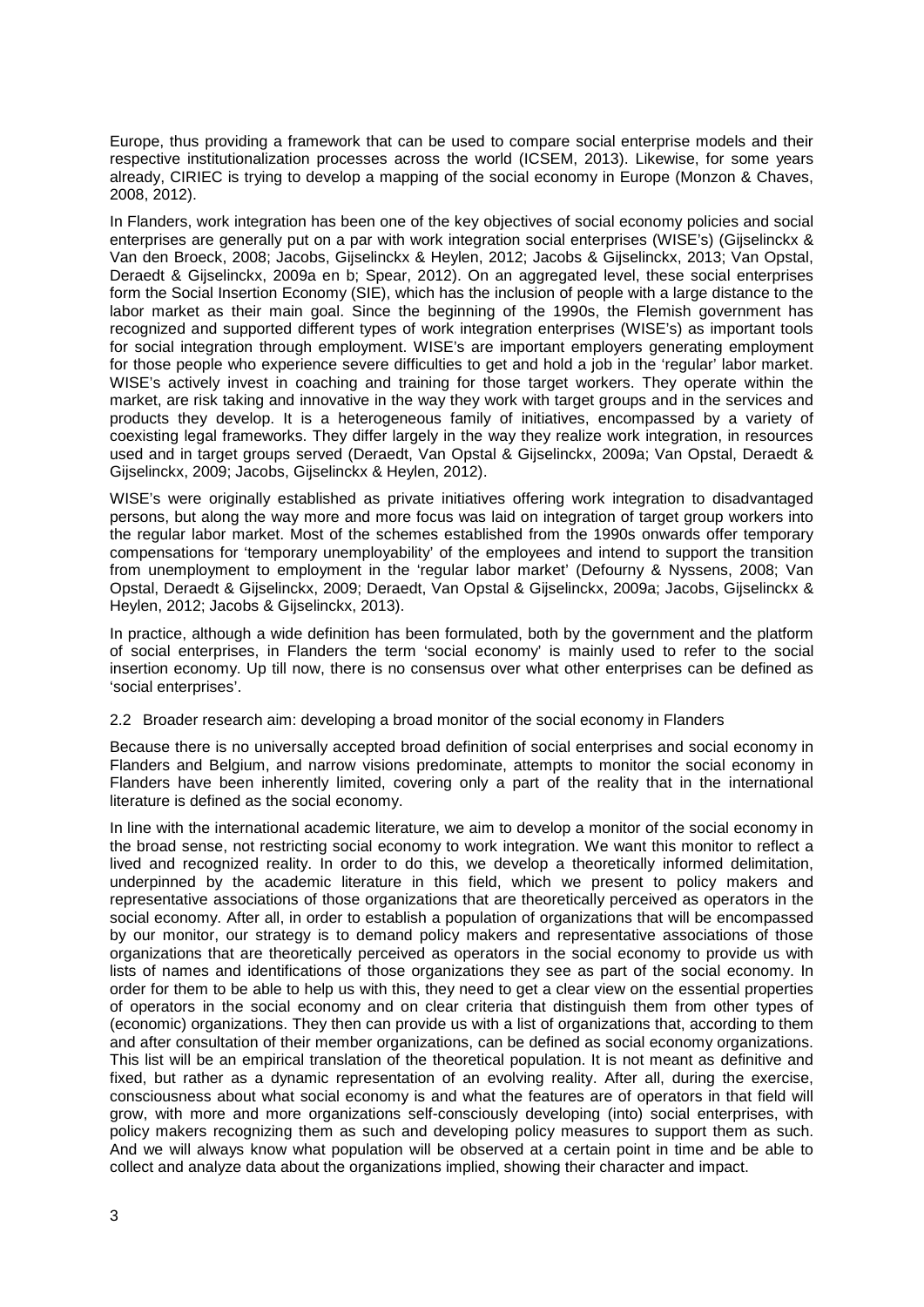Europe, thus providing a framework that can be used to compare social enterprise models and their respective institutionalization processes across the world (ICSEM, 2013). Likewise, for some years already, CIRIEC is trying to develop a mapping of the social economy in Europe (Monzon & Chaves, 2008, 2012).

In Flanders, work integration has been one of the key objectives of social economy policies and social enterprises are generally put on a par with work integration social enterprises (WISE's) (Gijselinckx & Van den Broeck, 2008; Jacobs, Gijselinckx & Heylen, 2012; Jacobs & Gijselinckx, 2013; Van Opstal, Deraedt & Gijselinckx, 2009a en b; Spear, 2012). On an aggregated level, these social enterprises form the Social Insertion Economy (SIE), which has the inclusion of people with a large distance to the labor market as their main goal. Since the beginning of the 1990s, the Flemish government has recognized and supported different types of work integration enterprises (WISE's) as important tools for social integration through employment. WISE's are important employers generating employment for those people who experience severe difficulties to get and hold a job in the 'regular' labor market. WISE's actively invest in coaching and training for those target workers. They operate within the market, are risk taking and innovative in the way they work with target groups and in the services and products they develop. It is a heterogeneous family of initiatives, encompassed by a variety of coexisting legal frameworks. They differ largely in the way they realize work integration, in resources used and in target groups served (Deraedt, Van Opstal & Gijselinckx, 2009a; Van Opstal, Deraedt & Gijselinckx, 2009; Jacobs, Gijselinckx & Heylen, 2012).

WISE's were originally established as private initiatives offering work integration to disadvantaged persons, but along the way more and more focus was laid on integration of target group workers into the regular labor market. Most of the schemes established from the 1990s onwards offer temporary compensations for 'temporary unemployability' of the employees and intend to support the transition from unemployment to employment in the 'regular labor market' (Defourny & Nyssens, 2008; Van Opstal, Deraedt & Gijselinckx, 2009; Deraedt, Van Opstal & Gijselinckx, 2009a; Jacobs, Gijselinckx & Heylen, 2012; Jacobs & Gijselinckx, 2013).

In practice, although a wide definition has been formulated, both by the government and the platform of social enterprises, in Flanders the term 'social economy' is mainly used to refer to the social insertion economy. Up till now, there is no consensus over what other enterprises can be defined as 'social enterprises'.

### 2.2 Broader research aim: developing a broad monitor of the social economy in Flanders

Because there is no universally accepted broad definition of social enterprises and social economy in Flanders and Belgium, and narrow visions predominate, attempts to monitor the social economy in Flanders have been inherently limited, covering only a part of the reality that in the international literature is defined as the social economy.

In line with the international academic literature, we aim to develop a monitor of the social economy in the broad sense, not restricting social economy to work integration. We want this monitor to reflect a lived and recognized reality. In order to do this, we develop a theoretically informed delimitation, underpinned by the academic literature in this field, which we present to policy makers and representative associations of those organizations that are theoretically perceived as operators in the social economy. After all, in order to establish a population of organizations that will be encompassed by our monitor, our strategy is to demand policy makers and representative associations of those organizations that are theoretically perceived as operators in the social economy to provide us with lists of names and identifications of those organizations they see as part of the social economy. In order for them to be able to help us with this, they need to get a clear view on the essential properties of operators in the social economy and on clear criteria that distinguish them from other types of (economic) organizations. They then can provide us with a list of organizations that, according to them and after consultation of their member organizations, can be defined as social economy organizations. This list will be an empirical translation of the theoretical population. It is not meant as definitive and fixed, but rather as a dynamic representation of an evolving reality. After all, during the exercise, consciousness about what social economy is and what the features are of operators in that field will grow, with more and more organizations self-consciously developing (into) social enterprises, with policy makers recognizing them as such and developing policy measures to support them as such. And we will always know what population will be observed at a certain point in time and be able to collect and analyze data about the organizations implied, showing their character and impact.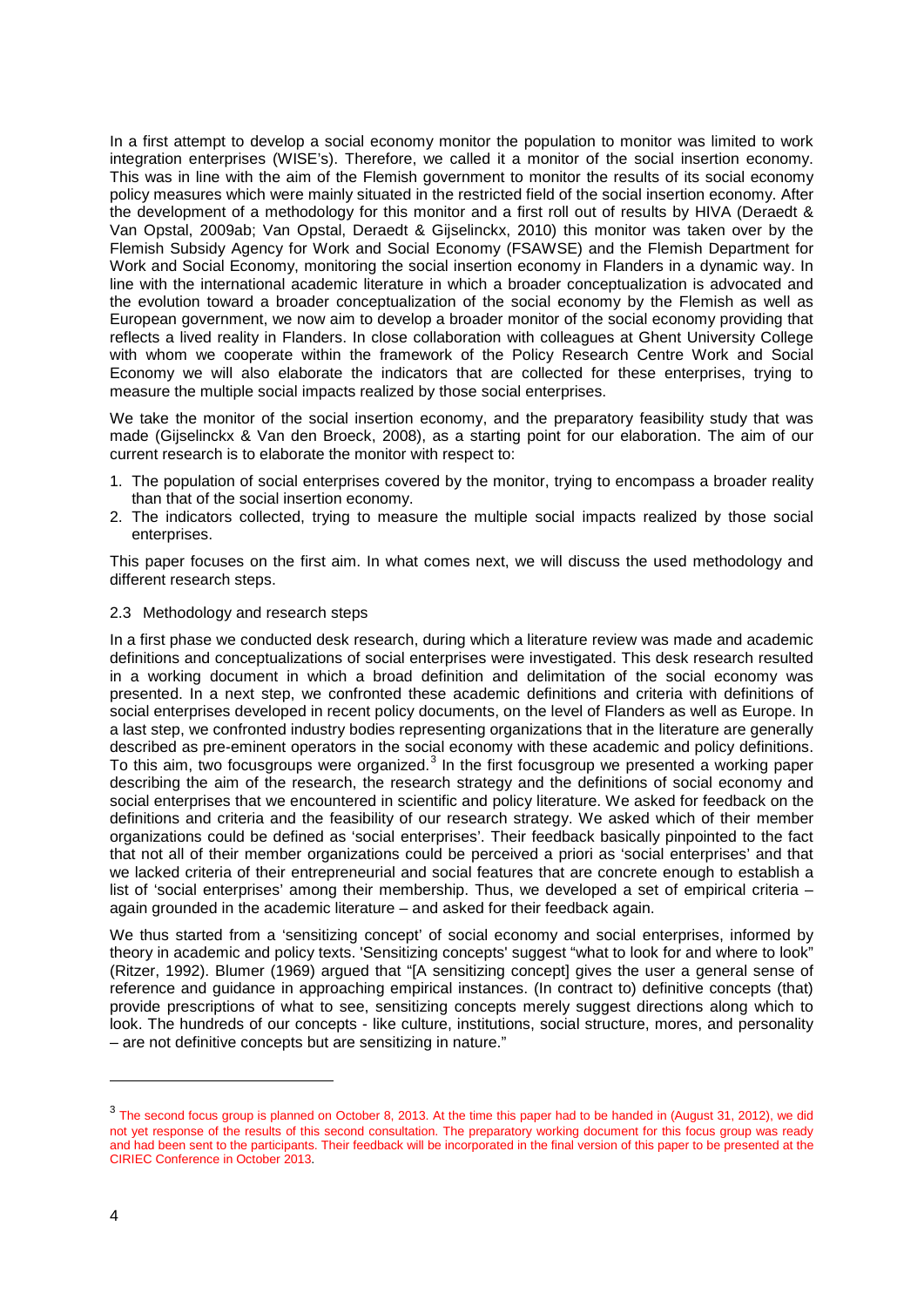In a first attempt to develop a social economy monitor the population to monitor was limited to work integration enterprises (WISE's). Therefore, we called it a monitor of the social insertion economy. This was in line with the aim of the Flemish government to monitor the results of its social economy policy measures which were mainly situated in the restricted field of the social insertion economy. After the development of a methodology for this monitor and a first roll out of results by HIVA (Deraedt & Van Opstal, 2009ab; Van Opstal, Deraedt & Gijselinckx, 2010) this monitor was taken over by the Flemish Subsidy Agency for Work and Social Economy (FSAWSE) and the Flemish Department for Work and Social Economy, monitoring the social insertion economy in Flanders in a dynamic way. In line with the international academic literature in which a broader conceptualization is advocated and the evolution toward a broader conceptualization of the social economy by the Flemish as well as European government, we now aim to develop a broader monitor of the social economy providing that reflects a lived reality in Flanders. In close collaboration with colleagues at Ghent University College with whom we cooperate within the framework of the Policy Research Centre Work and Social Economy we will also elaborate the indicators that are collected for these enterprises, trying to measure the multiple social impacts realized by those social enterprises.

We take the monitor of the social insertion economy, and the preparatory feasibility study that was made (Gijselinckx & Van den Broeck, 2008), as a starting point for our elaboration. The aim of our current research is to elaborate the monitor with respect to:

- 1. The population of social enterprises covered by the monitor, trying to encompass a broader reality than that of the social insertion economy.
- 2. The indicators collected, trying to measure the multiple social impacts realized by those social enterprises.

This paper focuses on the first aim. In what comes next, we will discuss the used methodology and different research steps.

#### 2.3 Methodology and research steps

In a first phase we conducted desk research, during which a literature review was made and academic definitions and conceptualizations of social enterprises were investigated. This desk research resulted in a working document in which a broad definition and delimitation of the social economy was presented. In a next step, we confronted these academic definitions and criteria with definitions of social enterprises developed in recent policy documents, on the level of Flanders as well as Europe. In a last step, we confronted industry bodies representing organizations that in the literature are generally described as pre-eminent operators in the social economy with these academic and policy definitions. To this aim, two focusgroups were organized.<sup>[3](#page-3-0)</sup> In the first focusgroup we presented a working paper describing the aim of the research, the research strategy and the definitions of social economy and social enterprises that we encountered in scientific and policy literature. We asked for feedback on the definitions and criteria and the feasibility of our research strategy. We asked which of their member organizations could be defined as 'social enterprises'. Their feedback basically pinpointed to the fact that not all of their member organizations could be perceived a priori as 'social enterprises' and that we lacked criteria of their entrepreneurial and social features that are concrete enough to establish a list of 'social enterprises' among their membership. Thus, we developed a set of empirical criteria – again grounded in the academic literature – and asked for their feedback again.

We thus started from a 'sensitizing concept' of social economy and social enterprises, informed by theory in academic and policy texts. 'Sensitizing concepts' suggest "what to look for and where to look" (Ritzer, 1992). Blumer (1969) argued that "[A sensitizing concept] gives the user a general sense of reference and guidance in approaching empirical instances. (In contract to) definitive concepts (that) provide prescriptions of what to see, sensitizing concepts merely suggest directions along which to look. The hundreds of our concepts - like culture, institutions, social structure, mores, and personality – are not definitive concepts but are sensitizing in nature."

<span id="page-3-0"></span><sup>&</sup>lt;sup>3</sup> The second focus group is planned on October 8, 2013. At the time this paper had to be handed in (August 31, 2012), we did not yet response of the results of this second consultation. The preparatory working document for this focus group was ready and had been sent to the participants. Their feedback will be incorporated in the final version of this paper to be presented at the CIRIEC Conference in October 2013.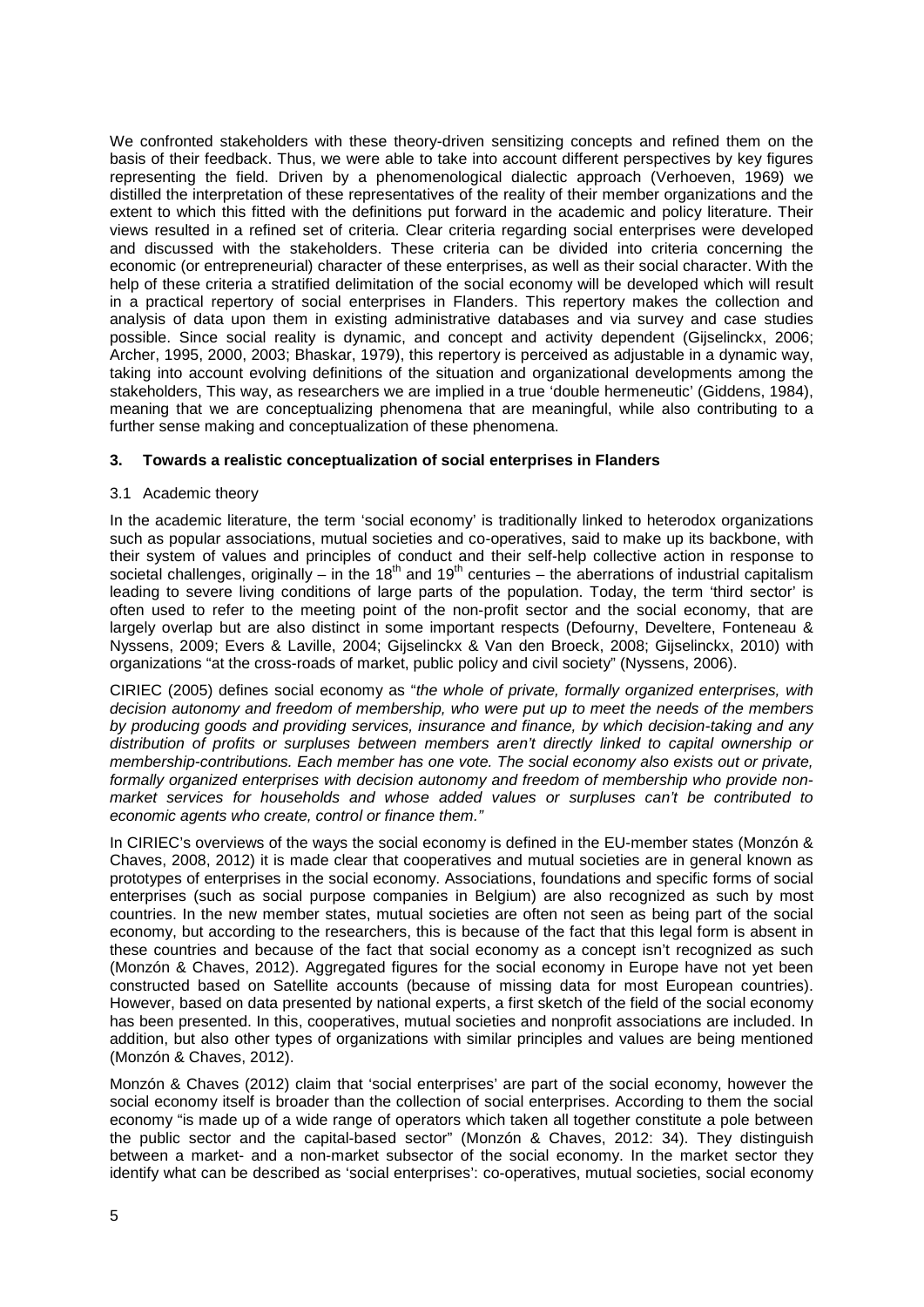We confronted stakeholders with these theory-driven sensitizing concepts and refined them on the basis of their feedback. Thus, we were able to take into account different perspectives by key figures representing the field. Driven by a phenomenological dialectic approach (Verhoeven, 1969) we distilled the interpretation of these representatives of the reality of their member organizations and the extent to which this fitted with the definitions put forward in the academic and policy literature. Their views resulted in a refined set of criteria. Clear criteria regarding social enterprises were developed and discussed with the stakeholders. These criteria can be divided into criteria concerning the economic (or entrepreneurial) character of these enterprises, as well as their social character. With the help of these criteria a stratified delimitation of the social economy will be developed which will result in a practical repertory of social enterprises in Flanders. This repertory makes the collection and analysis of data upon them in existing administrative databases and via survey and case studies possible. Since social reality is dynamic, and concept and activity dependent (Gijselinckx, 2006; Archer, 1995, 2000, 2003; Bhaskar, 1979), this repertory is perceived as adjustable in a dynamic way, taking into account evolving definitions of the situation and organizational developments among the stakeholders, This way, as researchers we are implied in a true 'double hermeneutic' (Giddens, 1984), meaning that we are conceptualizing phenomena that are meaningful, while also contributing to a further sense making and conceptualization of these phenomena.

# **3. Towards a realistic conceptualization of social enterprises in Flanders**

# 3.1 Academic theory

In the academic literature, the term 'social economy' is traditionally linked to heterodox organizations such as popular associations, mutual societies and co-operatives, said to make up its backbone, with their system of values and principles of conduct and their self-help collective action in response to societal challenges, originally – in the 18<sup>th</sup> and 19<sup>th</sup> centuries – the aberrations of industrial capitalism leading to severe living conditions of large parts of the population. Today, the term 'third sector' is often used to refer to the meeting point of the non-profit sector and the social economy, that are largely overlap but are also distinct in some important respects (Defourny, Develtere, Fonteneau & Nyssens, 2009; Evers & Laville, 2004; Gijselinckx & Van den Broeck, 2008; Gijselinckx, 2010) with organizations "at the cross-roads of market, public policy and civil society" (Nyssens, 2006).

CIRIEC (2005) defines social economy as "*the whole of private, formally organized enterprises, with decision autonomy and freedom of membership, who were put up to meet the needs of the members by producing goods and providing services, insurance and finance, by which decision-taking and any distribution of profits or surpluses between members aren't directly linked to capital ownership or membership-contributions. Each member has one vote. The social economy also exists out or private, formally organized enterprises with decision autonomy and freedom of membership who provide nonmarket services for households and whose added values or surpluses can't be contributed to economic agents who create, control or finance them."*

In CIRIEC's overviews of the ways the social economy is defined in the EU-member states (Monzón & Chaves, 2008, 2012) it is made clear that cooperatives and mutual societies are in general known as prototypes of enterprises in the social economy. Associations, foundations and specific forms of social enterprises (such as social purpose companies in Belgium) are also recognized as such by most countries. In the new member states, mutual societies are often not seen as being part of the social economy, but according to the researchers, this is because of the fact that this legal form is absent in these countries and because of the fact that social economy as a concept isn't recognized as such (Monzón & Chaves, 2012). Aggregated figures for the social economy in Europe have not yet been constructed based on Satellite accounts (because of missing data for most European countries). However, based on data presented by national experts, a first sketch of the field of the social economy has been presented. In this, cooperatives, mutual societies and nonprofit associations are included. In addition, but also other types of organizations with similar principles and values are being mentioned (Monzón & Chaves, 2012).

Monzón & Chaves (2012) claim that 'social enterprises' are part of the social economy, however the social economy itself is broader than the collection of social enterprises. According to them the social economy "is made up of a wide range of operators which taken all together constitute a pole between the public sector and the capital-based sector" (Monzón & Chaves, 2012: 34). They distinguish between a market- and a non-market subsector of the social economy. In the market sector they identify what can be described as 'social enterprises': co-operatives, mutual societies, social economy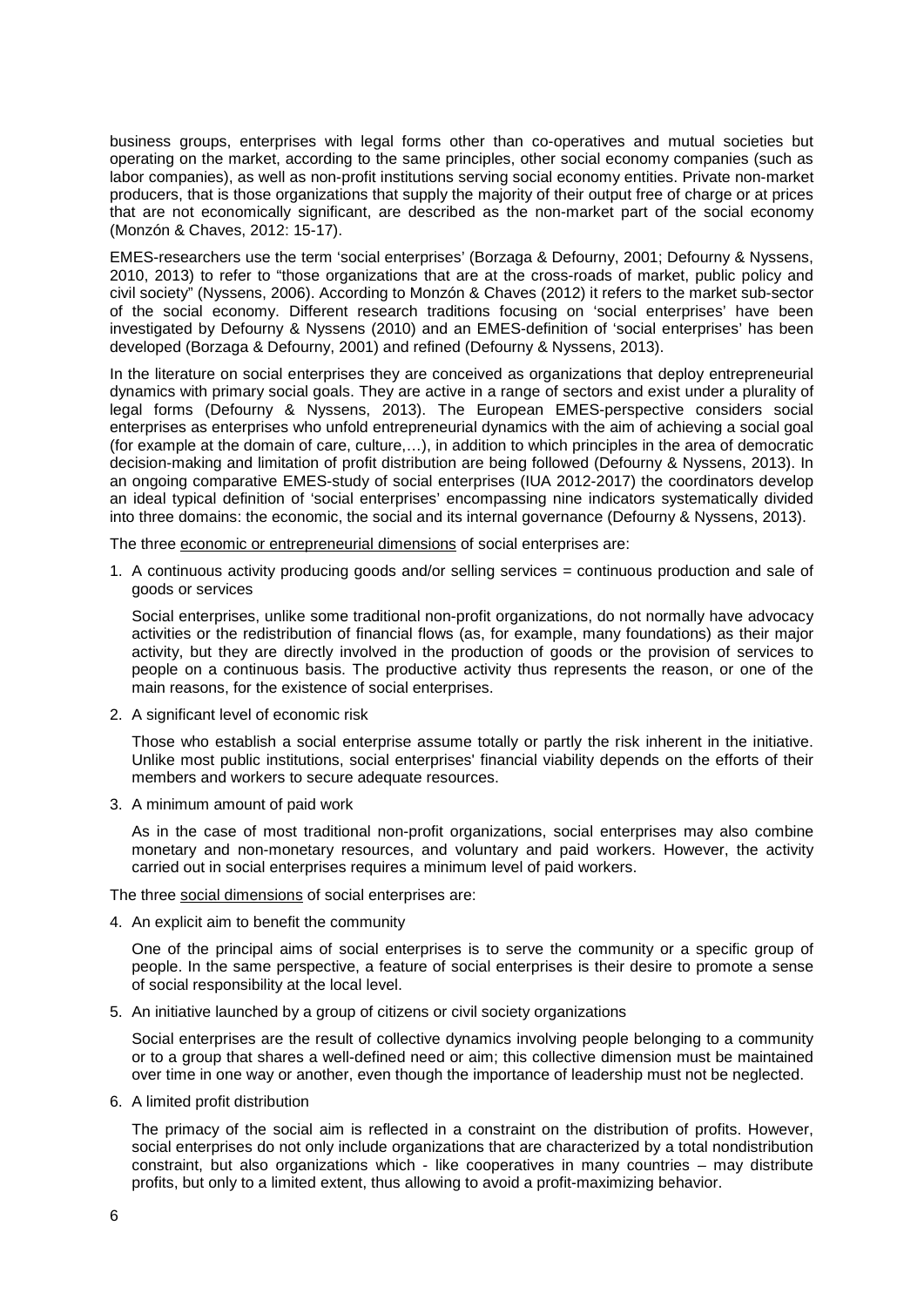business groups, enterprises with legal forms other than co-operatives and mutual societies but operating on the market, according to the same principles, other social economy companies (such as labor companies), as well as non-profit institutions serving social economy entities. Private non-market producers, that is those organizations that supply the majority of their output free of charge or at prices that are not economically significant, are described as the non-market part of the social economy (Monzón & Chaves, 2012: 15-17).

EMES-researchers use the term 'social enterprises' (Borzaga & Defourny, 2001; Defourny & Nyssens, 2010, 2013) to refer to "those organizations that are at the cross-roads of market, public policy and civil society" (Nyssens, 2006). According to Monzón & Chaves (2012) it refers to the market sub-sector of the social economy. Different research traditions focusing on 'social enterprises' have been investigated by Defourny & Nyssens (2010) and an EMES-definition of 'social enterprises' has been developed (Borzaga & Defourny, 2001) and refined (Defourny & Nyssens, 2013).

In the literature on social enterprises they are conceived as organizations that deploy entrepreneurial dynamics with primary social goals. They are active in a range of sectors and exist under a plurality of legal forms (Defourny & Nyssens, 2013). The European EMES-perspective considers social enterprises as enterprises who unfold entrepreneurial dynamics with the aim of achieving a social goal (for example at the domain of care, culture,…), in addition to which principles in the area of democratic decision-making and limitation of profit distribution are being followed (Defourny & Nyssens, 2013). In an ongoing comparative EMES-study of social enterprises (IUA 2012-2017) the coordinators develop an ideal typical definition of 'social enterprises' encompassing nine indicators systematically divided into three domains: the economic, the social and its internal governance (Defourny & Nyssens, 2013).

The three economic or entrepreneurial dimensions of social enterprises are:

1. A continuous activity producing goods and/or selling services = continuous production and sale of goods or services

Social enterprises, unlike some traditional non-profit organizations, do not normally have advocacy activities or the redistribution of financial flows (as, for example, many foundations) as their major activity, but they are directly involved in the production of goods or the provision of services to people on a continuous basis. The productive activity thus represents the reason, or one of the main reasons, for the existence of social enterprises.

2. A significant level of economic risk

Those who establish a social enterprise assume totally or partly the risk inherent in the initiative. Unlike most public institutions, social enterprises' financial viability depends on the efforts of their members and workers to secure adequate resources.

3. A minimum amount of paid work

As in the case of most traditional non-profit organizations, social enterprises may also combine monetary and non-monetary resources, and voluntary and paid workers. However, the activity carried out in social enterprises requires a minimum level of paid workers.

The three social dimensions of social enterprises are:

4. An explicit aim to benefit the community

One of the principal aims of social enterprises is to serve the community or a specific group of people. In the same perspective, a feature of social enterprises is their desire to promote a sense of social responsibility at the local level.

5. An initiative launched by a group of citizens or civil society organizations

Social enterprises are the result of collective dynamics involving people belonging to a community or to a group that shares a well-defined need or aim; this collective dimension must be maintained over time in one way or another, even though the importance of leadership must not be neglected.

6. A limited profit distribution

The primacy of the social aim is reflected in a constraint on the distribution of profits. However, social enterprises do not only include organizations that are characterized by a total nondistribution constraint, but also organizations which - like cooperatives in many countries – may distribute profits, but only to a limited extent, thus allowing to avoid a profit-maximizing behavior.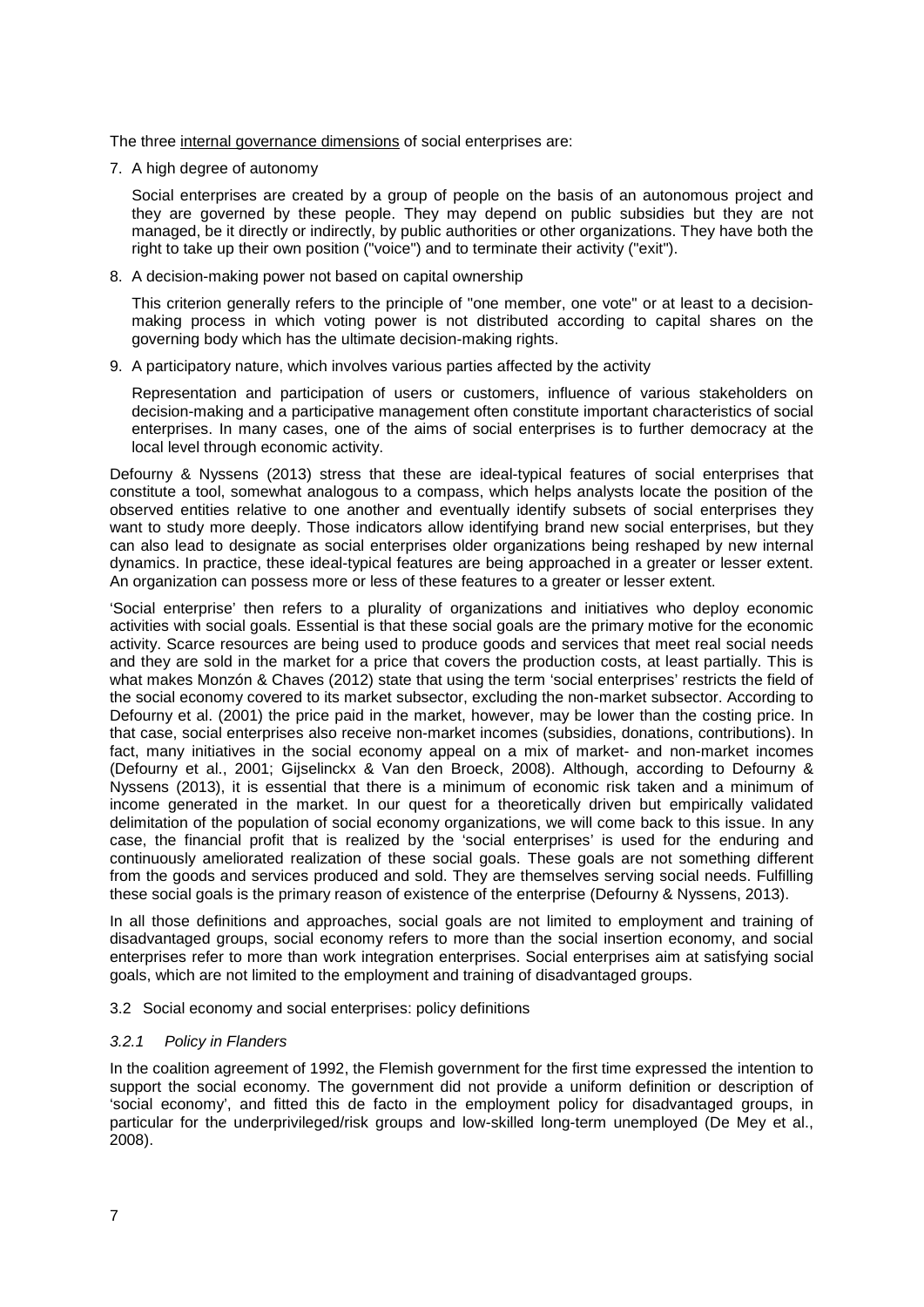The three internal governance dimensions of social enterprises are:

7. A high degree of autonomy

Social enterprises are created by a group of people on the basis of an autonomous project and they are governed by these people. They may depend on public subsidies but they are not managed, be it directly or indirectly, by public authorities or other organizations. They have both the right to take up their own position ("voice") and to terminate their activity ("exit").

8. A decision-making power not based on capital ownership

This criterion generally refers to the principle of "one member, one vote" or at least to a decisionmaking process in which voting power is not distributed according to capital shares on the governing body which has the ultimate decision-making rights.

9. A participatory nature, which involves various parties affected by the activity

Representation and participation of users or customers, influence of various stakeholders on decision-making and a participative management often constitute important characteristics of social enterprises. In many cases, one of the aims of social enterprises is to further democracy at the local level through economic activity.

Defourny & Nyssens (2013) stress that these are ideal-typical features of social enterprises that constitute a tool, somewhat analogous to a compass, which helps analysts locate the position of the observed entities relative to one another and eventually identify subsets of social enterprises they want to study more deeply. Those indicators allow identifying brand new social enterprises, but they can also lead to designate as social enterprises older organizations being reshaped by new internal dynamics. In practice, these ideal-typical features are being approached in a greater or lesser extent. An organization can possess more or less of these features to a greater or lesser extent.

'Social enterprise' then refers to a plurality of organizations and initiatives who deploy economic activities with social goals. Essential is that these social goals are the primary motive for the economic activity. Scarce resources are being used to produce goods and services that meet real social needs and they are sold in the market for a price that covers the production costs, at least partially. This is what makes Monzón & Chaves (2012) state that using the term 'social enterprises' restricts the field of the social economy covered to its market subsector, excluding the non-market subsector. According to Defourny et al. (2001) the price paid in the market, however, may be lower than the costing price. In that case, social enterprises also receive non-market incomes (subsidies, donations, contributions). In fact, many initiatives in the social economy appeal on a mix of market- and non-market incomes (Defourny et al., 2001; Gijselinckx & Van den Broeck, 2008). Although, according to Defourny & Nyssens (2013), it is essential that there is a minimum of economic risk taken and a minimum of income generated in the market. In our quest for a theoretically driven but empirically validated delimitation of the population of social economy organizations, we will come back to this issue. In any case, the financial profit that is realized by the 'social enterprises' is used for the enduring and continuously ameliorated realization of these social goals. These goals are not something different from the goods and services produced and sold. They are themselves serving social needs. Fulfilling these social goals is the primary reason of existence of the enterprise (Defourny & Nyssens, 2013).

In all those definitions and approaches, social goals are not limited to employment and training of disadvantaged groups, social economy refers to more than the social insertion economy, and social enterprises refer to more than work integration enterprises. Social enterprises aim at satisfying social goals, which are not limited to the employment and training of disadvantaged groups.

3.2 Social economy and social enterprises: policy definitions

# *3.2.1 Policy in Flanders*

In the coalition agreement of 1992, the Flemish government for the first time expressed the intention to support the social economy. The government did not provide a uniform definition or description of 'social economy', and fitted this de facto in the employment policy for disadvantaged groups, in particular for the underprivileged/risk groups and low-skilled long-term unemployed (De Mey et al., 2008).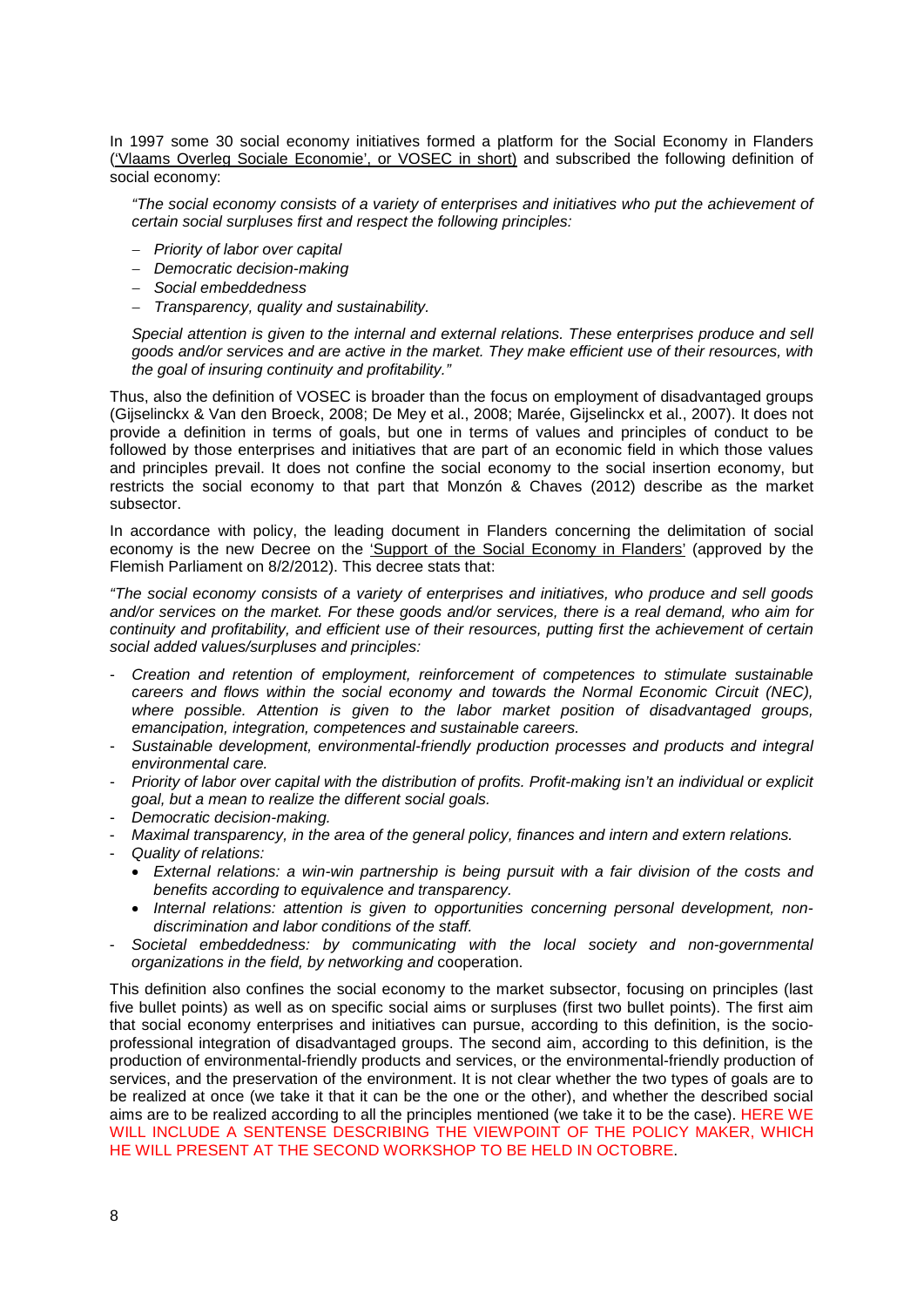In 1997 some 30 social economy initiatives formed a platform for the Social Economy in Flanders ('Vlaams Overleg Sociale Economie', or VOSEC in short) and subscribed the following definition of social economy:

*"The social economy consists of a variety of enterprises and initiatives who put the achievement of certain social surpluses first and respect the following principles:*

- − *Priority of labor over capital*
- − *Democratic decision-making*
- − *Social embeddedness*
- − *Transparency, quality and sustainability.*

*Special attention is given to the internal and external relations. These enterprises produce and sell goods and/or services and are active in the market. They make efficient use of their resources, with the goal of insuring continuity and profitability."*

Thus, also the definition of VOSEC is broader than the focus on employment of disadvantaged groups (Gijselinckx & Van den Broeck, 2008; De Mey et al., 2008; Marée, Gijselinckx et al., 2007). It does not provide a definition in terms of goals, but one in terms of values and principles of conduct to be followed by those enterprises and initiatives that are part of an economic field in which those values and principles prevail. It does not confine the social economy to the social insertion economy, but restricts the social economy to that part that Monzón & Chaves (2012) describe as the market subsector.

In accordance with policy, the leading document in Flanders concerning the delimitation of social economy is the new Decree on the 'Support of the Social Economy in Flanders' (approved by the Flemish Parliament on 8/2/2012). This decree stats that:

*"The social economy consists of a variety of enterprises and initiatives, who produce and sell goods and/or services on the market. For these goods and/or services, there is a real demand, who aim for continuity and profitability, and efficient use of their resources, putting first the achievement of certain social added values/surpluses and principles:*

- *Creation and retention of employment, reinforcement of competences to stimulate sustainable careers and flows within the social economy and towards the Normal Economic Circuit (NEC), where possible. Attention is given to the labor market position of disadvantaged groups, emancipation, integration, competences and sustainable careers.*
- *Sustainable development, environmental-friendly production processes and products and integral environmental care.*
- *Priority of labor over capital with the distribution of profits. Profit-making isn't an individual or explicit goal, but a mean to realize the different social goals.*
- *Democratic decision-making.*
- *Maximal transparency, in the area of the general policy, finances and intern and extern relations.*
- *Quality of relations:* 
	- *External relations: a win-win partnership is being pursuit with a fair division of the costs and benefits according to equivalence and transparency.*
	- *Internal relations: attention is given to opportunities concerning personal development, nondiscrimination and labor conditions of the staff.*
- *Societal embeddedness: by communicating with the local society and non-governmental organizations in the field, by networking and* cooperation.

This definition also confines the social economy to the market subsector, focusing on principles (last five bullet points) as well as on specific social aims or surpluses (first two bullet points). The first aim that social economy enterprises and initiatives can pursue, according to this definition, is the socioprofessional integration of disadvantaged groups. The second aim, according to this definition, is the production of environmental-friendly products and services, or the environmental-friendly production of services, and the preservation of the environment. It is not clear whether the two types of goals are to be realized at once (we take it that it can be the one or the other), and whether the described social aims are to be realized according to all the principles mentioned (we take it to be the case). HERE WE WILL INCLUDE A SENTENSE DESCRIBING THE VIEWPOINT OF THE POLICY MAKER, WHICH HE WILL PRESENT AT THE SECOND WORKSHOP TO BE HELD IN OCTOBRE.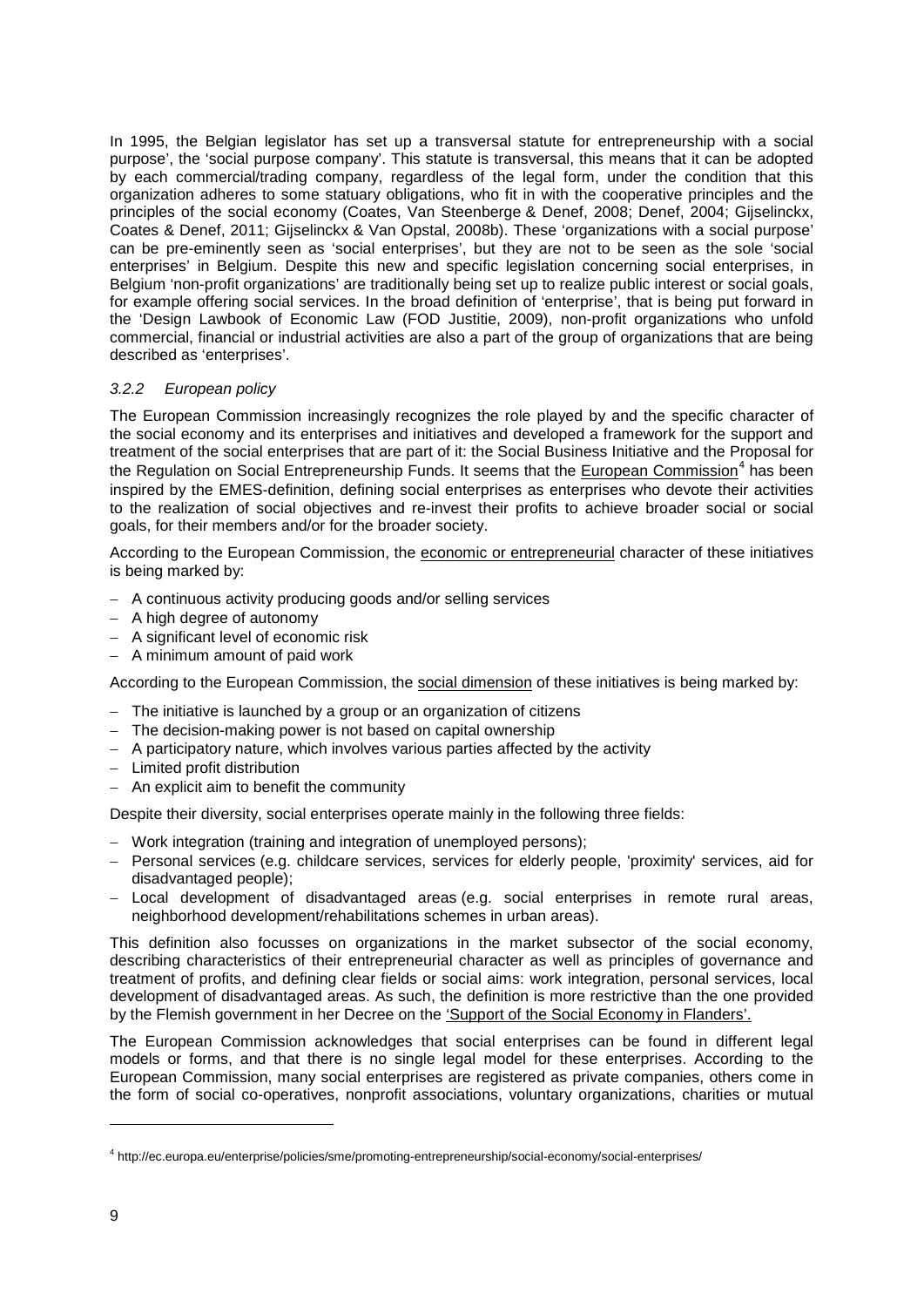In 1995, the Belgian legislator has set up a transversal statute for entrepreneurship with a social purpose', the 'social purpose company'. This statute is transversal, this means that it can be adopted by each commercial/trading company, regardless of the legal form, under the condition that this organization adheres to some statuary obligations, who fit in with the cooperative principles and the principles of the social economy (Coates, Van Steenberge & Denef, 2008; Denef, 2004; Gijselinckx, Coates & Denef, 2011; Gijselinckx & Van Opstal, 2008b). These 'organizations with a social purpose' can be pre-eminently seen as 'social enterprises', but they are not to be seen as the sole 'social enterprises' in Belgium. Despite this new and specific legislation concerning social enterprises, in Belgium 'non-profit organizations' are traditionally being set up to realize public interest or social goals, for example offering social services. In the broad definition of 'enterprise', that is being put forward in the 'Design Lawbook of Economic Law (FOD Justitie, 2009), non-profit organizations who unfold commercial, financial or industrial activities are also a part of the group of organizations that are being described as 'enterprises'.

# *3.2.2 European policy*

The European Commission increasingly recognizes the role played by and the specific character of the social economy and its enterprises and initiatives and developed a framework for the support and treatment of the social enterprises that are part of it: the Social Business Initiative and the Proposal for the Regulation on Social Entrepreneurship Funds. It seems that the European Commission<sup>[4](#page-8-0)</sup> has been inspired by the EMES-definition, defining social enterprises as enterprises who devote their activities to the realization of social objectives and re-invest their profits to achieve broader social or social goals, for their members and/or for the broader society.

According to the European Commission, the economic or entrepreneurial character of these initiatives is being marked by:

- − A continuous activity producing goods and/or selling services
- − A high degree of autonomy
- − A significant level of economic risk
- − A minimum amount of paid work

According to the European Commission, the social dimension of these initiatives is being marked by:

- − The initiative is launched by a group or an organization of citizens
- − The decision-making power is not based on capital ownership
- − A participatory nature, which involves various parties affected by the activity
- − Limited profit distribution
- − An explicit aim to benefit the community

Despite their diversity, social enterprises operate mainly in the following three fields:

- − Work integration (training and integration of unemployed persons);
- − Personal services (e.g. childcare services, services for elderly people, 'proximity' services, aid for disadvantaged people);
- Local development of disadvantaged areas (e.g. social enterprises in remote rural areas, neighborhood development/rehabilitations schemes in urban areas).

This definition also focusses on organizations in the market subsector of the social economy, describing characteristics of their entrepreneurial character as well as principles of governance and treatment of profits, and defining clear fields or social aims: work integration, personal services, local development of disadvantaged areas. As such, the definition is more restrictive than the one provided by the Flemish government in her Decree on the 'Support of the Social Economy in Flanders'.

The European Commission acknowledges that social enterprises can be found in different legal models or forms, and that there is no single legal model for these enterprises. According to the European Commission, many social enterprises are registered as private companies, others come in the form of social co-operatives, nonprofit associations, voluntary organizations, charities or mutual

<span id="page-8-0"></span><sup>4</sup> http://ec.europa.eu/enterprise/policies/sme/promoting-entrepreneurship/social-economy/social-enterprises/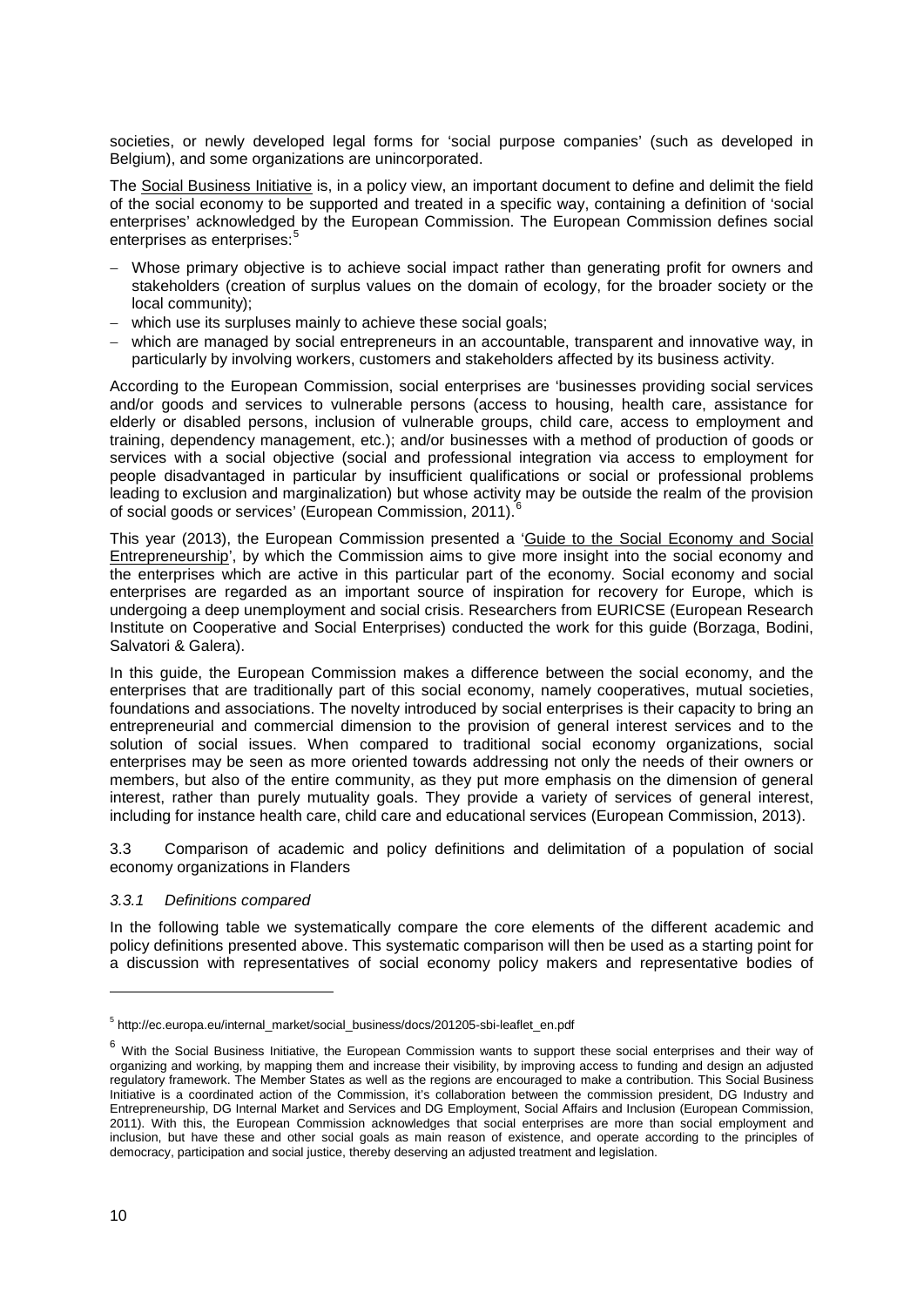societies, or newly developed legal forms for 'social purpose companies' (such as developed in Belgium), and some organizations are unincorporated.

The Social Business Initiative is, in a policy view, an important document to define and delimit the field of the social economy to be supported and treated in a specific way, containing a definition of 'social enterprises' acknowledged by the European Commission. The European Commission defines social enterprises as enterprises:<sup>[5](#page-9-0)</sup>

- Whose primary objective is to achieve social impact rather than generating profit for owners and stakeholders (creation of surplus values on the domain of ecology, for the broader society or the local community);
- − which use its surpluses mainly to achieve these social goals;
- which are managed by social entrepreneurs in an accountable, transparent and innovative way, in particularly by involving workers, customers and stakeholders affected by its business activity.

According to the European Commission, social enterprises are 'businesses providing social services and/or goods and services to vulnerable persons (access to housing, health care, assistance for elderly or disabled persons, inclusion of vulnerable groups, child care, access to employment and training, dependency management, etc.); and/or businesses with a method of production of goods or services with a social objective (social and professional integration via access to employment for people disadvantaged in particular by insufficient qualifications or social or professional problems leading to exclusion and marginalization) but whose activity may be outside the realm of the provision of social goods or services' (European Commission, 2011). [6](#page-9-1)

This year (2013), the European Commission presented a 'Guide to the Social Economy and Social Entrepreneurship', by which the Commission aims to give more insight into the social economy and the enterprises which are active in this particular part of the economy. Social economy and social enterprises are regarded as an important source of inspiration for recovery for Europe, which is undergoing a deep unemployment and social crisis. Researchers from EURICSE (European Research Institute on Cooperative and Social Enterprises) conducted the work for this guide (Borzaga, Bodini, Salvatori & Galera).

In this guide, the European Commission makes a difference between the social economy, and the enterprises that are traditionally part of this social economy, namely cooperatives, mutual societies, foundations and associations. The novelty introduced by social enterprises is their capacity to bring an entrepreneurial and commercial dimension to the provision of general interest services and to the solution of social issues. When compared to traditional social economy organizations, social enterprises may be seen as more oriented towards addressing not only the needs of their owners or members, but also of the entire community, as they put more emphasis on the dimension of general interest, rather than purely mutuality goals. They provide a variety of services of general interest, including for instance health care, child care and educational services (European Commission, 2013).

3.3 Comparison of academic and policy definitions and delimitation of a population of social economy organizations in Flanders

#### *3.3.1 Definitions compared*

In the following table we systematically compare the core elements of the different academic and policy definitions presented above. This systematic comparison will then be used as a starting point for a discussion with representatives of social economy policy makers and representative bodies of

<span id="page-9-0"></span><sup>5</sup> http://ec.europa.eu/internal\_market/social\_business/docs/201205-sbi-leaflet\_en.pdf

<span id="page-9-1"></span> $6$  With the Social Business Initiative, the European Commission wants to support these social enterprises and their way of organizing and working, by mapping them and increase their visibility, by improving access to funding and design an adjusted regulatory framework. The Member States as well as the regions are encouraged to make a contribution. This Social Business Initiative is a coordinated action of the Commission, it's collaboration between the commission president, DG Industry and Entrepreneurship, DG Internal Market and Services and DG Employment, Social Affairs and Inclusion (European Commission, 2011). With this, the European Commission acknowledges that social enterprises are more than social employment and inclusion, but have these and other social goals as main reason of existence, and operate according to the principles of democracy, participation and social justice, thereby deserving an adjusted treatment and legislation.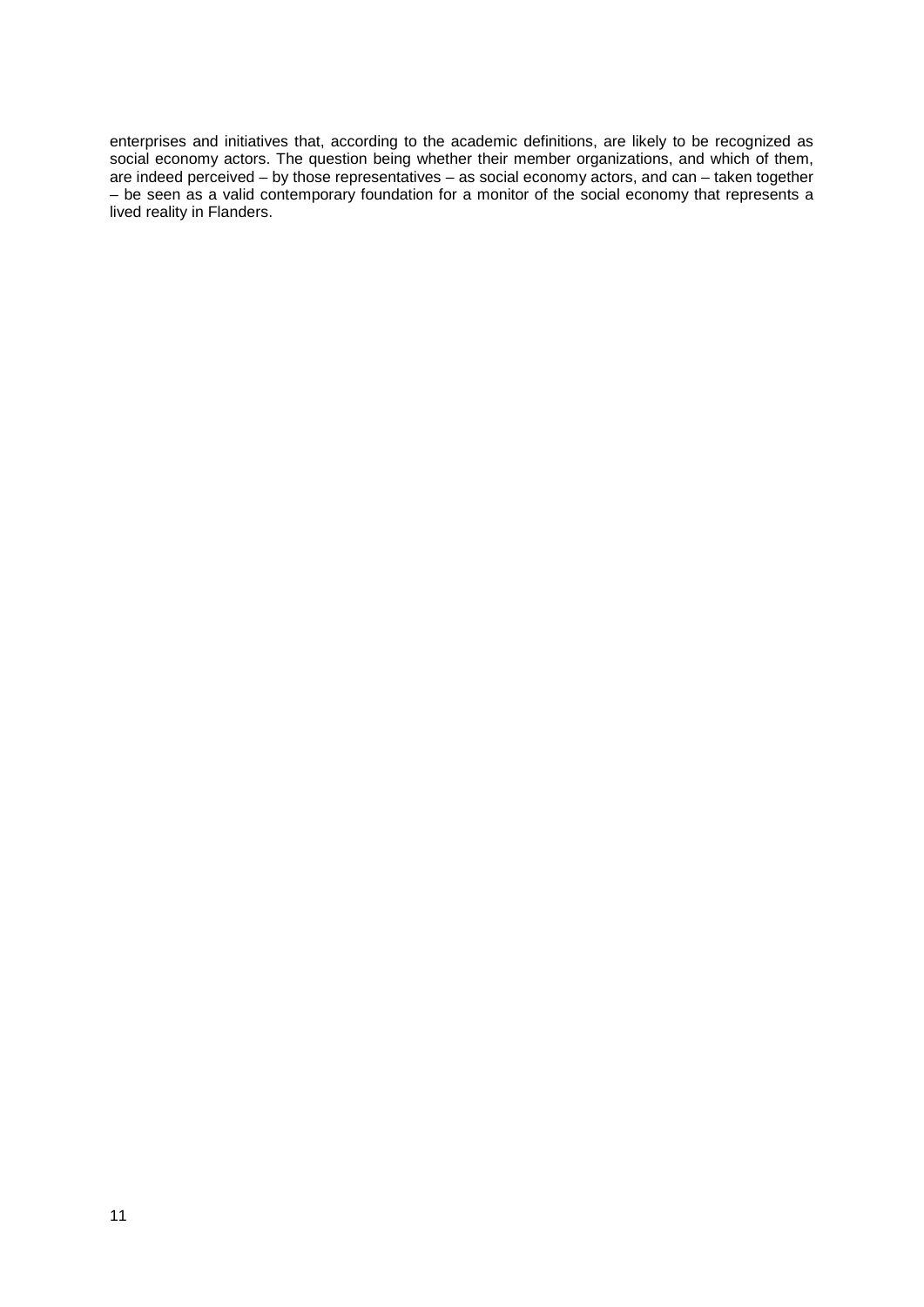enterprises and initiatives that, according to the academic definitions, are likely to be recognized as social economy actors. The question being whether their member organizations, and which of them, are indeed perceived – by those representatives – as social economy actors, and can – taken together – be seen as a valid contemporary foundation for a monitor of the social economy that represents a lived reality in Flanders.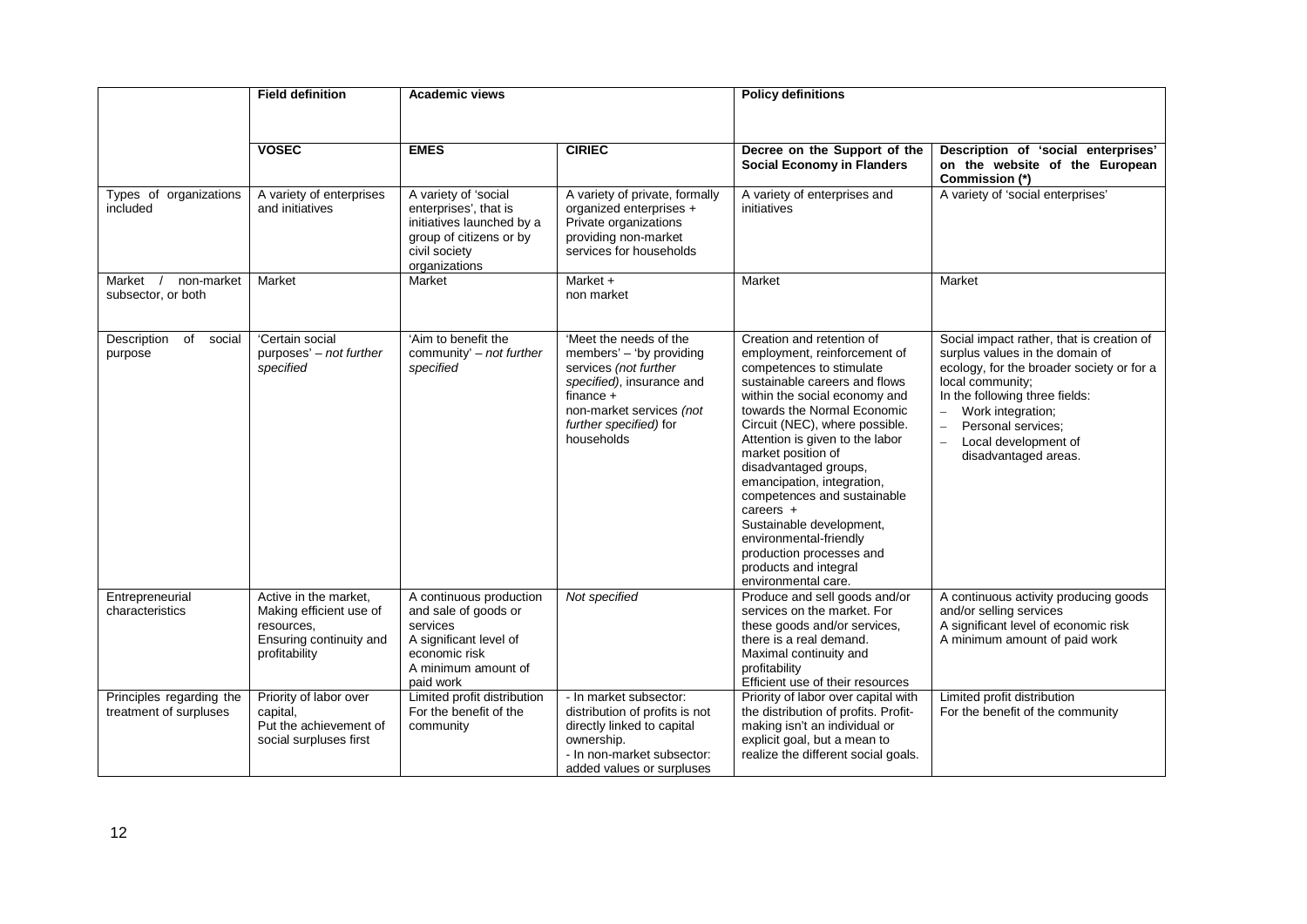|                                                    | <b>Field definition</b>                                                                                    | <b>Academic views</b>                                                                                                                      |                                                                                                                                                                                             | <b>Policy definitions</b>                                                                                                                                                                                                                                                                                                                                                                                                                                                                                                |                                                                                                                                                                                                                                                                                              |
|----------------------------------------------------|------------------------------------------------------------------------------------------------------------|--------------------------------------------------------------------------------------------------------------------------------------------|---------------------------------------------------------------------------------------------------------------------------------------------------------------------------------------------|--------------------------------------------------------------------------------------------------------------------------------------------------------------------------------------------------------------------------------------------------------------------------------------------------------------------------------------------------------------------------------------------------------------------------------------------------------------------------------------------------------------------------|----------------------------------------------------------------------------------------------------------------------------------------------------------------------------------------------------------------------------------------------------------------------------------------------|
|                                                    | <b>VOSEC</b>                                                                                               | <b>EMES</b>                                                                                                                                | <b>CIRIEC</b>                                                                                                                                                                               | Decree on the Support of the<br><b>Social Economy in Flanders</b>                                                                                                                                                                                                                                                                                                                                                                                                                                                        | Description of 'social enterprises'<br>on the website of the European<br>Commission (*)                                                                                                                                                                                                      |
| Types of organizations<br>included                 | A variety of enterprises<br>and initiatives                                                                | A variety of 'social<br>enterprises', that is<br>initiatives launched by a<br>group of citizens or by<br>civil society<br>organizations    | A variety of private, formally<br>organized enterprises +<br>Private organizations<br>providing non-market<br>services for households                                                       | A variety of enterprises and<br>initiatives                                                                                                                                                                                                                                                                                                                                                                                                                                                                              | A variety of 'social enterprises'                                                                                                                                                                                                                                                            |
| Market<br>non-market<br>subsector, or both         | Market                                                                                                     | Market                                                                                                                                     | Market +<br>non market                                                                                                                                                                      | Market                                                                                                                                                                                                                                                                                                                                                                                                                                                                                                                   | Market                                                                                                                                                                                                                                                                                       |
| Description<br>of<br>social<br>purpose             | 'Certain social<br>purposes' - not further<br>specified                                                    | 'Aim to benefit the<br>community' - not further<br>specified                                                                               | 'Meet the needs of the<br>members' - 'by providing<br>services (not further<br>specified), insurance and<br>$finance +$<br>non-market services (not<br>further specified) for<br>households | Creation and retention of<br>employment, reinforcement of<br>competences to stimulate<br>sustainable careers and flows<br>within the social economy and<br>towards the Normal Economic<br>Circuit (NEC), where possible.<br>Attention is given to the labor<br>market position of<br>disadvantaged groups,<br>emancipation, integration,<br>competences and sustainable<br>careers $+$<br>Sustainable development,<br>environmental-friendly<br>production processes and<br>products and integral<br>environmental care. | Social impact rather, that is creation of<br>surplus values in the domain of<br>ecology, for the broader society or for a<br>local community;<br>In the following three fields:<br>Work integration;<br>Personal services:<br>Local development of<br>$\overline{a}$<br>disadvantaged areas. |
| Entrepreneurial<br>characteristics                 | Active in the market,<br>Making efficient use of<br>resources,<br>Ensuring continuity and<br>profitability | A continuous production<br>and sale of goods or<br>services<br>A significant level of<br>economic risk<br>A minimum amount of<br>paid work | Not specified                                                                                                                                                                               | Produce and sell goods and/or<br>services on the market. For<br>these goods and/or services,<br>there is a real demand.<br>Maximal continuity and<br>profitability<br>Efficient use of their resources                                                                                                                                                                                                                                                                                                                   | A continuous activity producing goods<br>and/or selling services<br>A significant level of economic risk<br>A minimum amount of paid work                                                                                                                                                    |
| Principles regarding the<br>treatment of surpluses | Priority of labor over<br>capital,<br>Put the achievement of<br>social surpluses first                     | Limited profit distribution<br>For the benefit of the<br>community                                                                         | - In market subsector:<br>distribution of profits is not<br>directly linked to capital<br>ownership.<br>- In non-market subsector:<br>added values or surpluses                             | Priority of labor over capital with<br>the distribution of profits. Profit-<br>making isn't an individual or<br>explicit goal, but a mean to<br>realize the different social goals.                                                                                                                                                                                                                                                                                                                                      | Limited profit distribution<br>For the benefit of the community                                                                                                                                                                                                                              |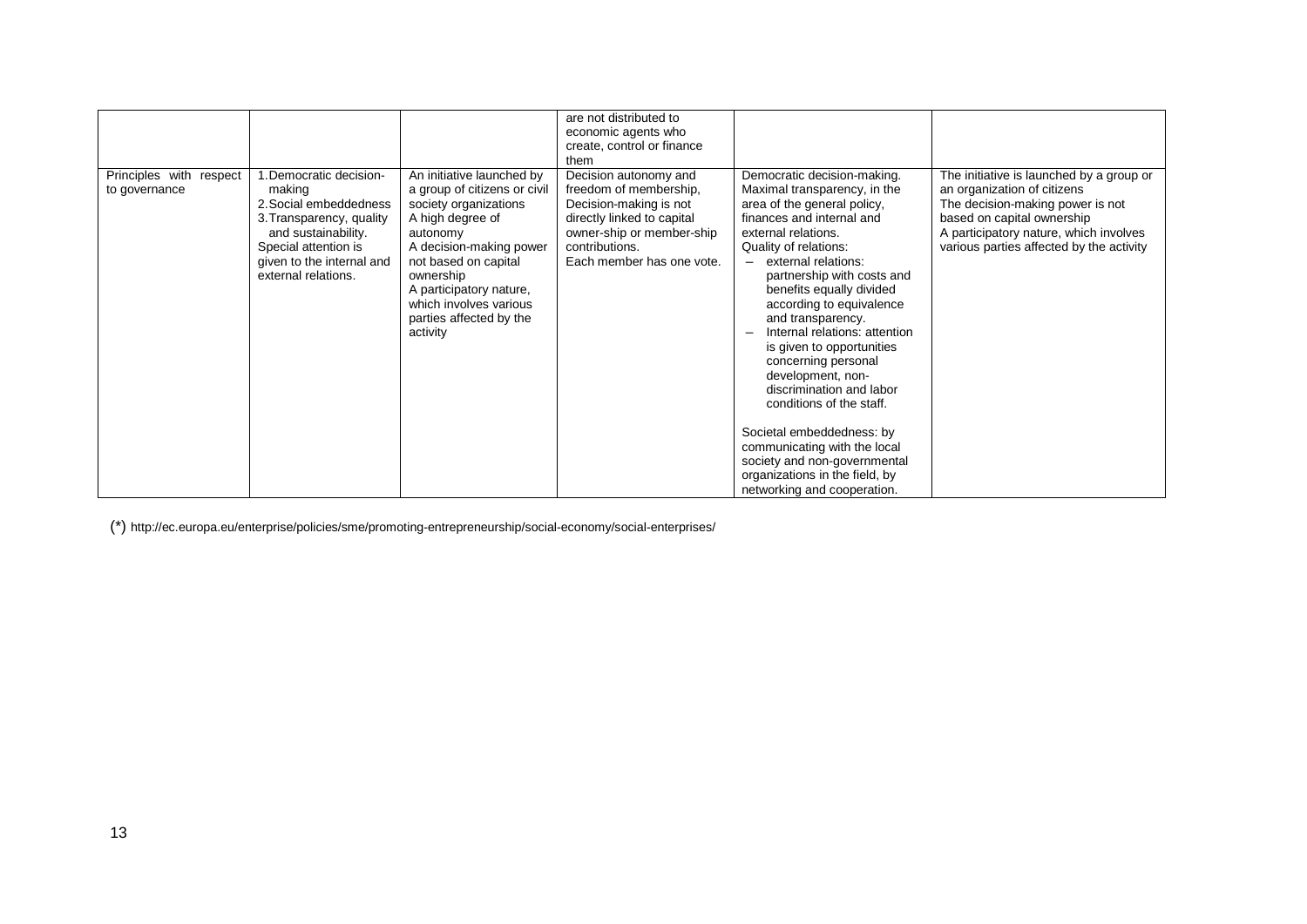|                                          |                                                                                                                                                                                            |                                                                                                                                                                                                                                                                                | are not distributed to<br>economic agents who<br>create, control or finance<br>them                                                                                                 |                                                                                                                                                                                                                                                                                                                                                                                                                                                                                                                                                                                                                                                                       |                                                                                                                                                                                                                                 |
|------------------------------------------|--------------------------------------------------------------------------------------------------------------------------------------------------------------------------------------------|--------------------------------------------------------------------------------------------------------------------------------------------------------------------------------------------------------------------------------------------------------------------------------|-------------------------------------------------------------------------------------------------------------------------------------------------------------------------------------|-----------------------------------------------------------------------------------------------------------------------------------------------------------------------------------------------------------------------------------------------------------------------------------------------------------------------------------------------------------------------------------------------------------------------------------------------------------------------------------------------------------------------------------------------------------------------------------------------------------------------------------------------------------------------|---------------------------------------------------------------------------------------------------------------------------------------------------------------------------------------------------------------------------------|
| Principles with respect<br>to governance | 1. Democratic decision-<br>making<br>2. Social embeddedness<br>3. Transparency, quality<br>and sustainability.<br>Special attention is<br>given to the internal and<br>external relations. | An initiative launched by<br>a group of citizens or civil<br>society organizations<br>A high degree of<br>autonomy<br>A decision-making power<br>not based on capital<br>ownership<br>A participatory nature,<br>which involves various<br>parties affected by the<br>activity | Decision autonomy and<br>freedom of membership,<br>Decision-making is not<br>directly linked to capital<br>owner-ship or member-ship<br>contributions.<br>Each member has one vote. | Democratic decision-making.<br>Maximal transparency, in the<br>area of the general policy,<br>finances and internal and<br>external relations.<br>Quality of relations:<br>external relations:<br>partnership with costs and<br>benefits equally divided<br>according to equivalence<br>and transparency.<br>Internal relations: attention<br>$\overline{\phantom{0}}$<br>is given to opportunities<br>concerning personal<br>development, non-<br>discrimination and labor<br>conditions of the staff.<br>Societal embeddedness: by<br>communicating with the local<br>society and non-governmental<br>organizations in the field, by<br>networking and cooperation. | The initiative is launched by a group or<br>an organization of citizens<br>The decision-making power is not<br>based on capital ownership<br>A participatory nature, which involves<br>various parties affected by the activity |

(\*) http://ec.europa.eu/enterprise/policies/sme/promoting-entrepreneurship/social-economy/social-enterprises/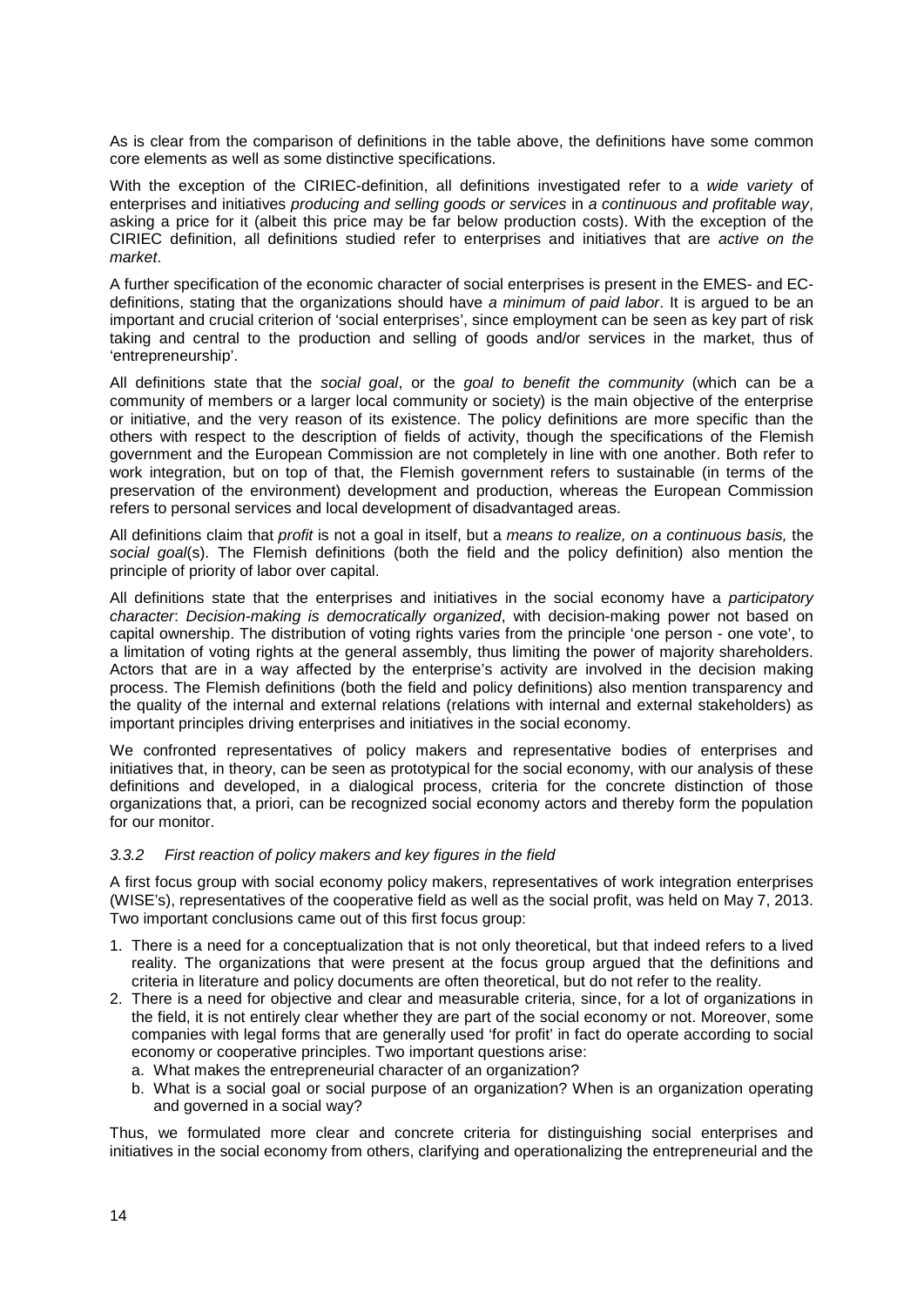As is clear from the comparison of definitions in the table above, the definitions have some common core elements as well as some distinctive specifications.

With the exception of the CIRIEC-definition, all definitions investigated refer to a *wide variety* of enterprises and initiatives *producing and selling goods or services* in *a continuous and profitable way*, asking a price for it (albeit this price may be far below production costs). With the exception of the CIRIEC definition, all definitions studied refer to enterprises and initiatives that are *active on the market*.

A further specification of the economic character of social enterprises is present in the EMES- and ECdefinitions, stating that the organizations should have *a minimum of paid labor*. It is argued to be an important and crucial criterion of 'social enterprises', since employment can be seen as key part of risk taking and central to the production and selling of goods and/or services in the market, thus of 'entrepreneurship'.

All definitions state that the *social goal*, or the *goal to benefit the community* (which can be a community of members or a larger local community or society) is the main objective of the enterprise or initiative, and the very reason of its existence. The policy definitions are more specific than the others with respect to the description of fields of activity, though the specifications of the Flemish government and the European Commission are not completely in line with one another. Both refer to work integration, but on top of that, the Flemish government refers to sustainable (in terms of the preservation of the environment) development and production, whereas the European Commission refers to personal services and local development of disadvantaged areas.

All definitions claim that *profit* is not a goal in itself, but a *means to realize, on a continuous basis,* the *social goal*(s). The Flemish definitions (both the field and the policy definition) also mention the principle of priority of labor over capital.

All definitions state that the enterprises and initiatives in the social economy have a *participatory character*: *Decision-making is democratically organized*, with decision-making power not based on capital ownership. The distribution of voting rights varies from the principle 'one person - one vote', to a limitation of voting rights at the general assembly, thus limiting the power of majority shareholders. Actors that are in a way affected by the enterprise's activity are involved in the decision making process. The Flemish definitions (both the field and policy definitions) also mention transparency and the quality of the internal and external relations (relations with internal and external stakeholders) as important principles driving enterprises and initiatives in the social economy.

We confronted representatives of policy makers and representative bodies of enterprises and initiatives that, in theory, can be seen as prototypical for the social economy, with our analysis of these definitions and developed, in a dialogical process, criteria for the concrete distinction of those organizations that, a priori, can be recognized social economy actors and thereby form the population for our monitor.

#### *3.3.2 First reaction of policy makers and key figures in the field*

A first focus group with social economy policy makers, representatives of work integration enterprises (WISE's), representatives of the cooperative field as well as the social profit, was held on May 7, 2013. Two important conclusions came out of this first focus group:

- 1. There is a need for a conceptualization that is not only theoretical, but that indeed refers to a lived reality. The organizations that were present at the focus group argued that the definitions and criteria in literature and policy documents are often theoretical, but do not refer to the reality.
- 2. There is a need for objective and clear and measurable criteria, since, for a lot of organizations in the field, it is not entirely clear whether they are part of the social economy or not. Moreover, some companies with legal forms that are generally used 'for profit' in fact do operate according to social economy or cooperative principles. Two important questions arise:
	- a. What makes the entrepreneurial character of an organization?
	- b. What is a social goal or social purpose of an organization? When is an organization operating and governed in a social way?

Thus, we formulated more clear and concrete criteria for distinguishing social enterprises and initiatives in the social economy from others, clarifying and operationalizing the entrepreneurial and the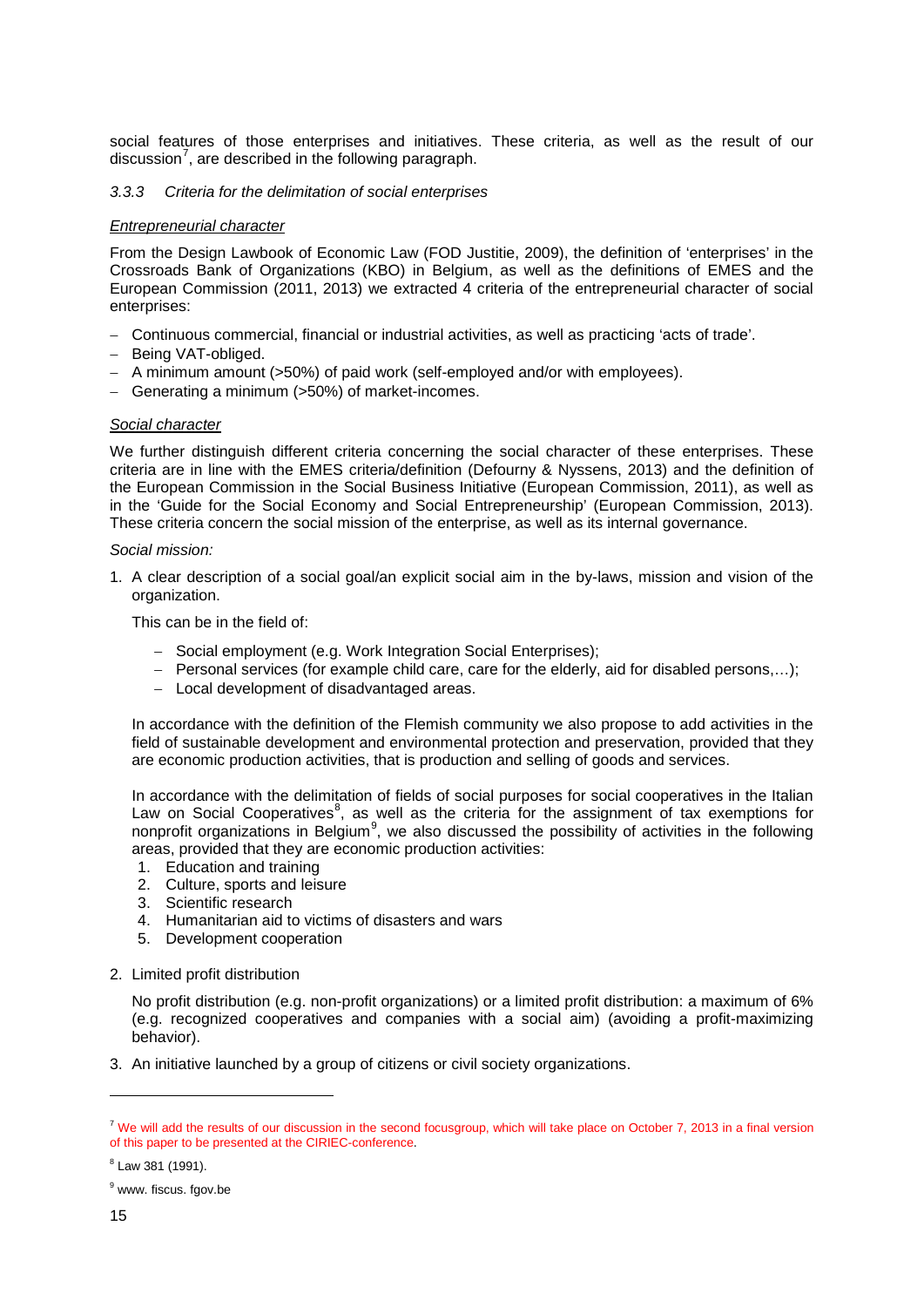social features of those enterprises and initiatives. These criteria, as well as the result of our discussion<sup>[7](#page-14-0)</sup>, are described in the following paragraph.

# *3.3.3 Criteria for the delimitation of social enterprises*

#### *Entrepreneurial character*

From the Design Lawbook of Economic Law (FOD Justitie, 2009), the definition of 'enterprises' in the Crossroads Bank of Organizations (KBO) in Belgium, as well as the definitions of EMES and the European Commission (2011, 2013) we extracted 4 criteria of the entrepreneurial character of social enterprises:

- − Continuous commercial, financial or industrial activities, as well as practicing 'acts of trade'.
- − Being VAT-obliged.
- − A minimum amount (>50%) of paid work (self-employed and/or with employees).
- − Generating a minimum (>50%) of market-incomes.

#### *Social character*

We further distinguish different criteria concerning the social character of these enterprises. These criteria are in line with the EMES criteria/definition (Defourny & Nyssens, 2013) and the definition of the European Commission in the Social Business Initiative (European Commission, 2011), as well as in the 'Guide for the Social Economy and Social Entrepreneurship' (European Commission, 2013). These criteria concern the social mission of the enterprise, as well as its internal governance.

#### *Social mission:*

1. A clear description of a social goal/an explicit social aim in the by-laws, mission and vision of the organization.

This can be in the field of:

- − Social employment (e.g. Work Integration Social Enterprises);
- − Personal services (for example child care, care for the elderly, aid for disabled persons,…);
- − Local development of disadvantaged areas.

In accordance with the definition of the Flemish community we also propose to add activities in the field of sustainable development and environmental protection and preservation, provided that they are economic production activities, that is production and selling of goods and services.

In accordance with the delimitation of fields of social purposes for social cooperatives in the Italian Law on Social Cooperatives<sup>[8](#page-14-1)</sup>, as well as the criteria for the assignment of tax exemptions for nonprofit organizations in Belgium<sup>[9](#page-14-2)</sup>, we also discussed the possibility of activities in the following areas, provided that they are economic production activities:

- 1. Education and training
- 2. Culture, sports and leisure
- 3. Scientific research
- 4. Humanitarian aid to victims of disasters and wars
- 5. Development cooperation
- 2. Limited profit distribution

No profit distribution (e.g. non-profit organizations) or a limited profit distribution: a maximum of 6% (e.g. recognized cooperatives and companies with a social aim) (avoiding a profit-maximizing behavior).

3. An initiative launched by a group of citizens or civil society organizations.

<span id="page-14-0"></span> $<sup>7</sup>$  We will add the results of our discussion in the second focusgroup, which will take place on October 7, 2013 in a final version</sup> of this paper to be presented at the CIRIEC-conference.

<span id="page-14-1"></span><sup>8</sup> Law 381 (1991).

<span id="page-14-2"></span><sup>&</sup>lt;sup>9</sup> www. fiscus. fgov.be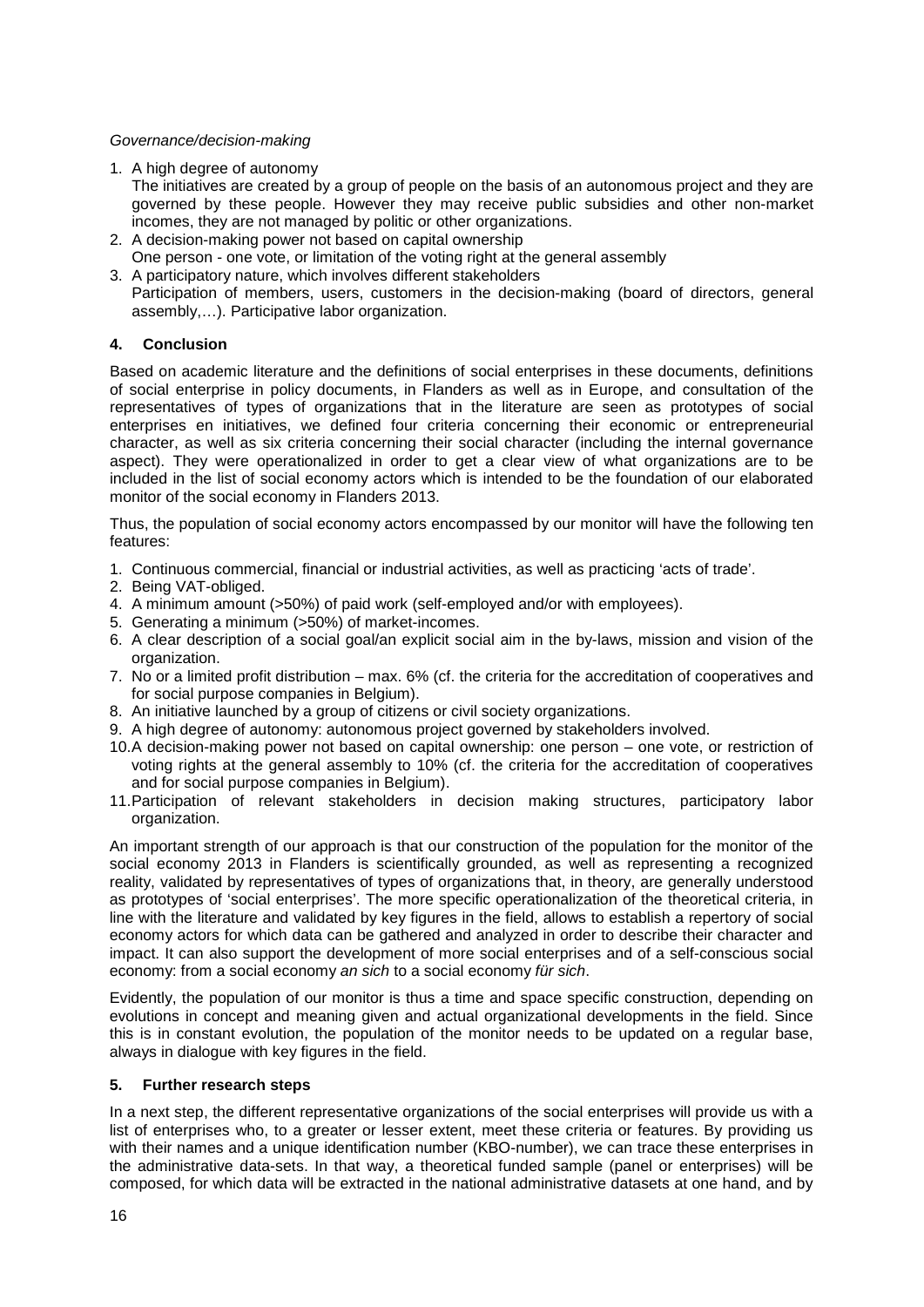# *Governance/decision-making*

1. A high degree of autonomy

The initiatives are created by a group of people on the basis of an autonomous project and they are governed by these people. However they may receive public subsidies and other non-market incomes, they are not managed by politic or other organizations.

- 2. A decision-making power not based on capital ownership
- One person one vote, or limitation of the voting right at the general assembly 3. A participatory nature, which involves different stakeholders Participation of members, users, customers in the decision-making (board of directors, general assembly,…). Participative labor organization.

# **4. Conclusion**

Based on academic literature and the definitions of social enterprises in these documents, definitions of social enterprise in policy documents, in Flanders as well as in Europe, and consultation of the representatives of types of organizations that in the literature are seen as prototypes of social enterprises en initiatives, we defined four criteria concerning their economic or entrepreneurial character, as well as six criteria concerning their social character (including the internal governance aspect). They were operationalized in order to get a clear view of what organizations are to be included in the list of social economy actors which is intended to be the foundation of our elaborated monitor of the social economy in Flanders 2013.

Thus, the population of social economy actors encompassed by our monitor will have the following ten features:

- 1. Continuous commercial, financial or industrial activities, as well as practicing 'acts of trade'.
- 2. Being VAT-obliged.
- 4. A minimum amount (>50%) of paid work (self-employed and/or with employees).
- 5. Generating a minimum (>50%) of market-incomes.
- 6. A clear description of a social goal/an explicit social aim in the by-laws, mission and vision of the organization.
- 7. No or a limited profit distribution max. 6% (cf. the criteria for the accreditation of cooperatives and for social purpose companies in Belgium).
- 8. An initiative launched by a group of citizens or civil society organizations.
- 9. A high degree of autonomy: autonomous project governed by stakeholders involved.
- 10.A decision-making power not based on capital ownership: one person one vote, or restriction of voting rights at the general assembly to 10% (cf. the criteria for the accreditation of cooperatives and for social purpose companies in Belgium).
- 11.Participation of relevant stakeholders in decision making structures, participatory labor organization.

An important strength of our approach is that our construction of the population for the monitor of the social economy 2013 in Flanders is scientifically grounded, as well as representing a recognized reality, validated by representatives of types of organizations that, in theory, are generally understood as prototypes of 'social enterprises'. The more specific operationalization of the theoretical criteria, in line with the literature and validated by key figures in the field, allows to establish a repertory of social economy actors for which data can be gathered and analyzed in order to describe their character and impact. It can also support the development of more social enterprises and of a self-conscious social economy: from a social economy *an sich* to a social economy *für sich*.

Evidently, the population of our monitor is thus a time and space specific construction, depending on evolutions in concept and meaning given and actual organizational developments in the field. Since this is in constant evolution, the population of the monitor needs to be updated on a regular base, always in dialogue with key figures in the field.

# **5. Further research steps**

In a next step, the different representative organizations of the social enterprises will provide us with a list of enterprises who, to a greater or lesser extent, meet these criteria or features. By providing us with their names and a unique identification number (KBO-number), we can trace these enterprises in the administrative data-sets. In that way, a theoretical funded sample (panel or enterprises) will be composed, for which data will be extracted in the national administrative datasets at one hand, and by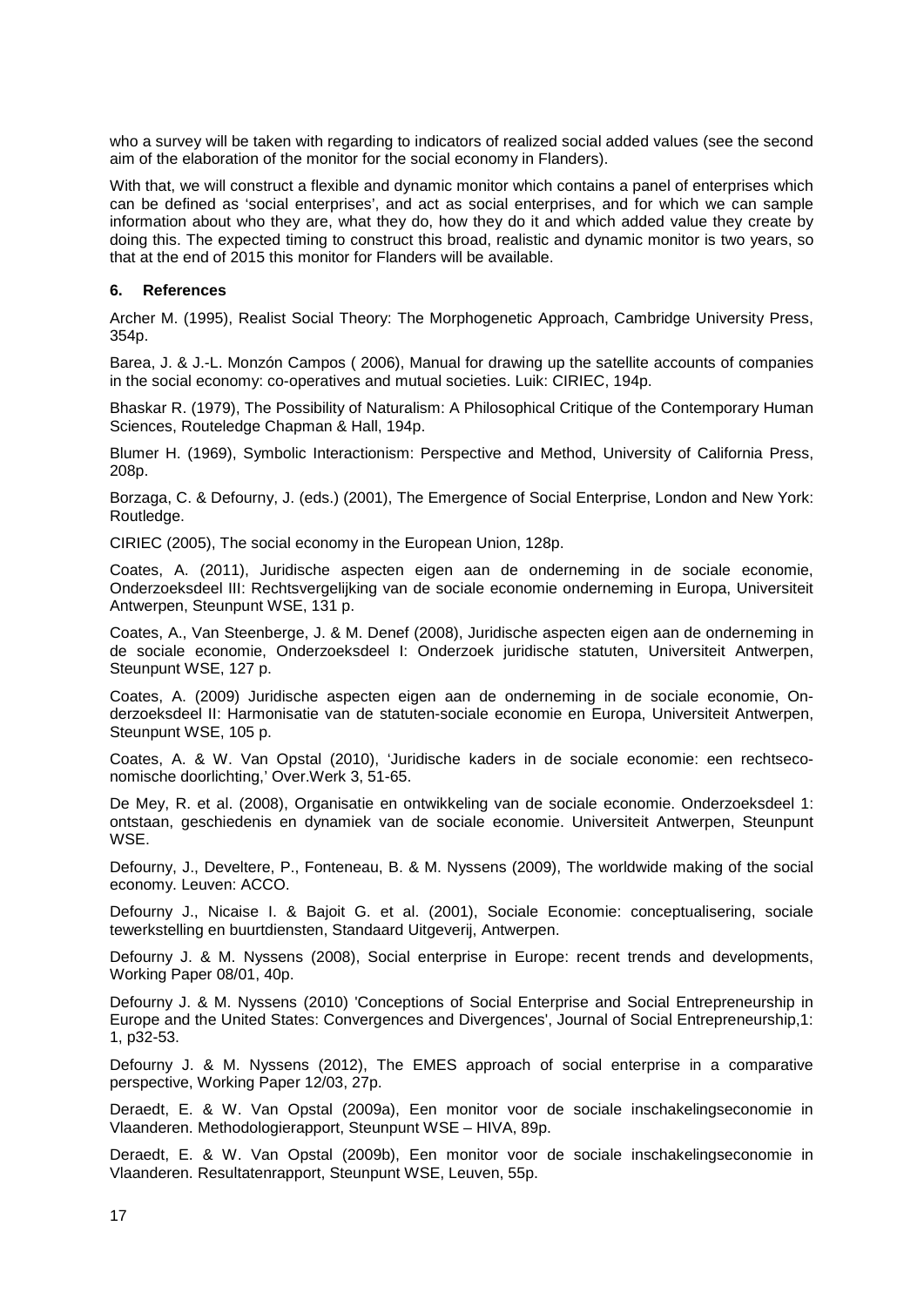who a survey will be taken with regarding to indicators of realized social added values (see the second aim of the elaboration of the monitor for the social economy in Flanders).

With that, we will construct a flexible and dynamic monitor which contains a panel of enterprises which can be defined as 'social enterprises', and act as social enterprises, and for which we can sample information about who they are, what they do, how they do it and which added value they create by doing this. The expected timing to construct this broad, realistic and dynamic monitor is two years, so that at the end of 2015 this monitor for Flanders will be available.

#### **6. References**

Archer M. (1995), Realist Social Theory: The Morphogenetic Approach, Cambridge University Press, 354p.

Barea, J. & J.-L. Monzón Campos ( 2006), Manual for drawing up the satellite accounts of companies in the social economy: co-operatives and mutual societies. Luik: CIRIEC, 194p.

Bhaskar R. (1979), The Possibility of Naturalism: A Philosophical Critique of the Contemporary Human Sciences, Routeledge Chapman & Hall, 194p.

Blumer H. (1969), Symbolic Interactionism: Perspective and Method, University of California Press, 208p.

Borzaga, C. & Defourny, J. (eds.) (2001), The Emergence of Social Enterprise, London and New York: Routledge.

CIRIEC (2005), The social economy in the European Union, 128p.

Coates, A. (2011), Juridische aspecten eigen aan de onderneming in de sociale economie, Onderzoeksdeel III: Rechtsvergelijking van de sociale economie onderneming in Europa, Universiteit Antwerpen, Steunpunt WSE, 131 p.

Coates, A., Van Steenberge, J. & M. Denef (2008), Juridische aspecten eigen aan de onderneming in de sociale economie, Onderzoeksdeel I: Onderzoek juridische statuten, Universiteit Antwerpen, Steunpunt WSE, 127 p.

Coates, A. (2009) Juridische aspecten eigen aan de onderneming in de sociale economie, Onderzoeksdeel II: Harmonisatie van de statuten-sociale economie en Europa, Universiteit Antwerpen, Steunpunt WSE, 105 p.

Coates, A. & W. Van Opstal (2010), 'Juridische kaders in de sociale economie: een rechtseconomische doorlichting,' Over.Werk 3, 51-65.

De Mey, R. et al. (2008), Organisatie en ontwikkeling van de sociale economie. Onderzoeksdeel 1: ontstaan, geschiedenis en dynamiek van de sociale economie. Universiteit Antwerpen, Steunpunt WSE.

Defourny, J., Develtere, P., Fonteneau, B. & M. Nyssens (2009), The worldwide making of the social economy. Leuven: ACCO.

Defourny J., Nicaise I. & Bajoit G. et al. (2001), Sociale Economie: conceptualisering, sociale tewerkstelling en buurtdiensten, Standaard Uitgeverij, Antwerpen.

Defourny J. & M. Nyssens (2008), Social enterprise in Europe: recent trends and developments, Working Paper 08/01, 40p.

Defourny J. & M. Nyssens (2010) 'Conceptions of Social Enterprise and Social Entrepreneurship in Europe and the United States: Convergences and Divergences', Journal of Social Entrepreneurship,1: 1, p32-53.

Defourny J. & M. Nyssens (2012), The EMES approach of social enterprise in a comparative perspective, Working Paper 12/03, 27p.

Deraedt, E. & W. Van Opstal (2009a), Een monitor voor de sociale inschakelingseconomie in Vlaanderen. Methodologierapport, Steunpunt WSE – HIVA, 89p.

Deraedt, E. & W. Van Opstal (2009b), Een monitor voor de sociale inschakelingseconomie in Vlaanderen. Resultatenrapport, Steunpunt WSE, Leuven, 55p.